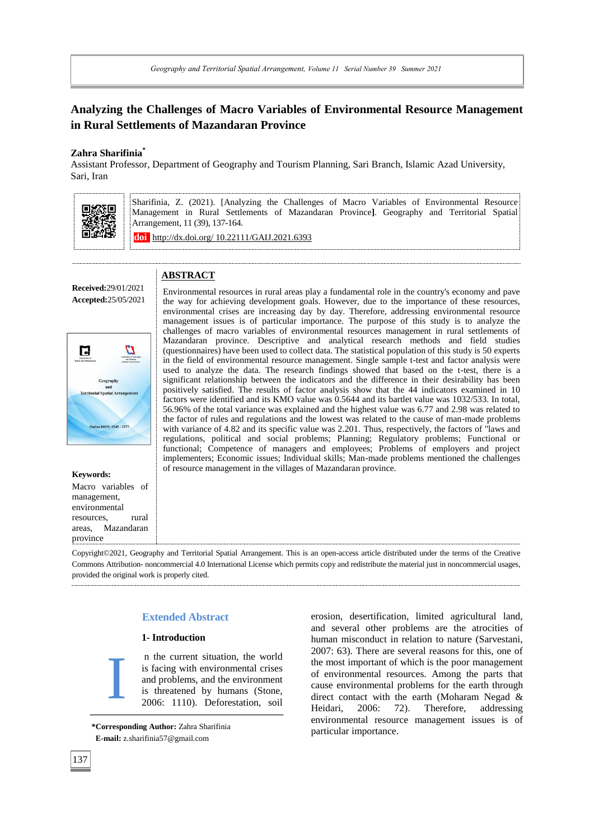*Geography and Territorial Spatial Arrangement, Volume 11 Serial Number 39 Summer 2021*

# **Analyzing the Challenges of Macro Variables of Environmental Resource Management in Rural Settlements of Mazandaran Province**

### **Zahra Sharifinia\***

Assistant Professor, Department of Geography and Tourism Planning, Sari Branch, Islamic Azad University, Sari, Iran



Sharifinia, Z. (2021). [Analyzing the Challenges of Macro Variables of Environmental Resource Management in Rural Settlements of Mazandaran Province**]**. Geography and Territorial Spatial Arrangement*,* 11 (39), 137-164.

**doi:** http://dx.doi.org/ 10.22111/GAIJ.2021.6393

### **ABSTRACT**

**Received:**29/01/2021 **Accepted:**25/05/2021



**Keywords:**

Macro variables of management, environmental resources, rural areas, Mazandaran province

I

Environmental resources in rural areas play a fundamental role in the country's economy and pave the way for achieving development goals. However, due to the importance of these resources, environmental crises are increasing day by day. Therefore, addressing environmental resource management issues is of particular importance. The purpose of this study is to analyze the challenges of macro variables of environmental resources management in rural settlements of Mazandaran province. Descriptive and analytical research methods and field studies (questionnaires) have been used to collect data. The statistical population of this study is 50 experts in the field of environmental resource management. Single sample t-test and factor analysis were used to analyze the data. The research findings showed that based on the t-test, there is a significant relationship between the indicators and the difference in their desirability has been positively satisfied. The results of factor analysis show that the 44 indicators examined in 10 factors were identified and its KMO value was 0.5644 and its bartlet value was 1032/533. In total, 56.96% of the total variance was explained and the highest value was 6.77 and 2.98 was related to the factor of rules and regulations and the lowest was related to the cause of man-made problems with variance of 4.82 and its specific value was 2.201. Thus, respectively, the factors of "laws and regulations, political and social problems; Planning; Regulatory problems; Functional or functional; Competence of managers and employees; Problems of employers and project implementers; Economic issues; Individual skills; Man-made problems mentioned the challenges of resource management in the villages of Mazandaran province.

Copyright©2021, Geography and Territorial Spatial Arrangement. This is an open-access article distributed under the terms of the Creative Commons Attribution- noncommercial 4.0 International License which permits copy and redistribute the material just in noncommercial usages, provided the original work is properly cited.

## **Extended Abstract**

### **1- Introduction**

n the current situation, the world is facing with environmental crises and problems, and the environment is threatened by humans (Stone, 2006: 1110). Deforestation, soil

particular importance. **\*Corresponding Author:** Zahra Sharifinia  **E-mail:** [z.sharifinia57@gmail.com](mailto:z.sharifinia57@gmail.com)

erosion, desertification, limited agricultural land, and several other problems are the atrocities of human misconduct in relation to nature (Sarvestani, 2007: 63). There are several reasons for this, one of the most important of which is the poor management of environmental resources. Among the parts that cause environmental problems for the earth through direct contact with the earth (Moharam Negad & Heidari, 2006: 72). Therefore, addressing environmental resource management issues is of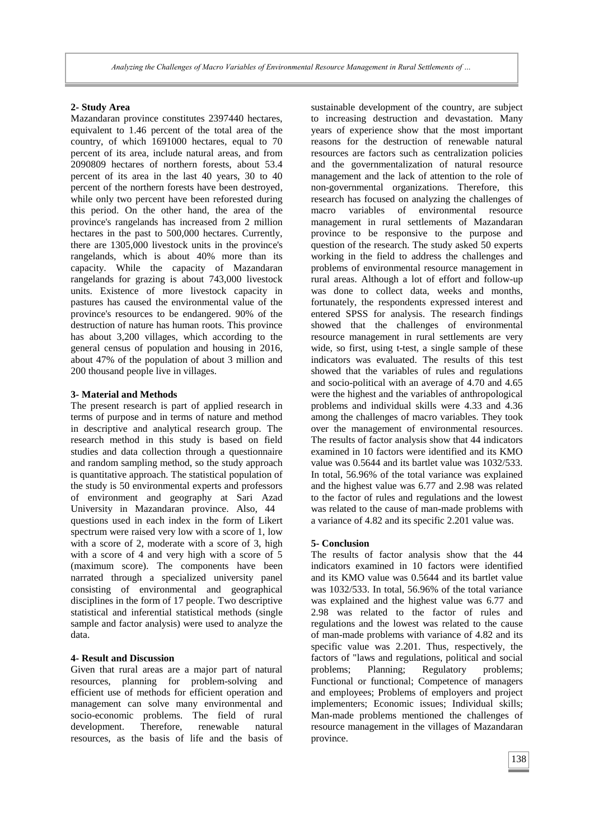*Analyzing the Challenges of Macro Variables of Environmental Resource Management in Rural Settlements of …*

## **2- Study Area**

Mazandaran province constitutes 2397440 hectares, equivalent to 1.46 percent of the total area of the country, of which 1691000 hectares, equal to 70 percent of its area, include natural areas, and from 2090809 hectares of northern forests, about 53.4 percent of its area in the last 40 years, 30 to 40 percent of the northern forests have been destroyed, while only two percent have been reforested during this period. On the other hand, the area of the province's rangelands has increased from 2 million hectares in the past to 500,000 hectares. Currently, there are 1305,000 livestock units in the province's rangelands, which is about 40% more than its capacity. While the capacity of Mazandaran rangelands for grazing is about 743,000 livestock units. Existence of more livestock capacity in pastures has caused the environmental value of the province's resources to be endangered. 90% of the destruction of nature has human roots. This province has about 3,200 villages, which according to the general census of population and housing in 2016, about 47% of the population of about 3 million and 200 thousand people live in villages.

### **3- Material and Methods**

The present research is part of applied research in terms of purpose and in terms of nature and method in descriptive and analytical research group. The research method in this study is based on field studies and data collection through a questionnaire and random sampling method, so the study approach is quantitative approach. The statistical population of the study is 50 environmental experts and professors of environment and geography at Sari Azad University in Mazandaran province. Also, 44 questions used in each index in the form of Likert spectrum were raised very low with a score of 1, low with a score of 2, moderate with a score of 3, high with a score of 4 and very high with a score of 5 (maximum score). The components have been narrated through a specialized university panel consisting of environmental and geographical disciplines in the form of 17 people. Two descriptive statistical and inferential statistical methods (single sample and factor analysis) were used to analyze the data.

## **4- Result and Discussion**

Given that rural areas are a major part of natural resources, planning for problem-solving and efficient use of methods for efficient operation and management can solve many environmental and socio-economic problems. The field of rural development. Therefore, renewable natural resources, as the basis of life and the basis of sustainable development of the country, are subject to increasing destruction and devastation. Many years of experience show that the most important reasons for the destruction of renewable natural resources are factors such as centralization policies and the governmentalization of natural resource management and the lack of attention to the role of non-governmental organizations. Therefore, this research has focused on analyzing the challenges of macro variables of environmental resource management in rural settlements of Mazandaran province to be responsive to the purpose and question of the research. The study asked 50 experts working in the field to address the challenges and problems of environmental resource management in rural areas. Although a lot of effort and follow-up was done to collect data, weeks and months, fortunately, the respondents expressed interest and entered SPSS for analysis. The research findings showed that the challenges of environmental resource management in rural settlements are very wide, so first, using t-test, a single sample of these indicators was evaluated. The results of this test showed that the variables of rules and regulations and socio-political with an average of 4.70 and 4.65 were the highest and the variables of anthropological problems and individual skills were 4.33 and 4.36 among the challenges of macro variables. They took over the management of environmental resources. The results of factor analysis show that 44 indicators examined in 10 factors were identified and its KMO value was 0.5644 and its bartlet value was 1032/533. In total, 56.96% of the total variance was explained and the highest value was 6.77 and 2.98 was related to the factor of rules and regulations and the lowest was related to the cause of man-made problems with a variance of 4.82 and its specific 2.201 value was.

### **5- Conclusion**

The results of factor analysis show that the 44 indicators examined in 10 factors were identified and its KMO value was 0.5644 and its bartlet value was 1032/533. In total, 56.96% of the total variance was explained and the highest value was 6.77 and 2.98 was related to the factor of rules and regulations and the lowest was related to the cause of man-made problems with variance of 4.82 and its specific value was 2.201. Thus, respectively, the factors of "laws and regulations, political and social problems; Planning; Regulatory problems; Functional or functional; Competence of managers and employees; Problems of employers and project implementers; Economic issues; Individual skills; Man-made problems mentioned the challenges of resource management in the villages of Mazandaran province.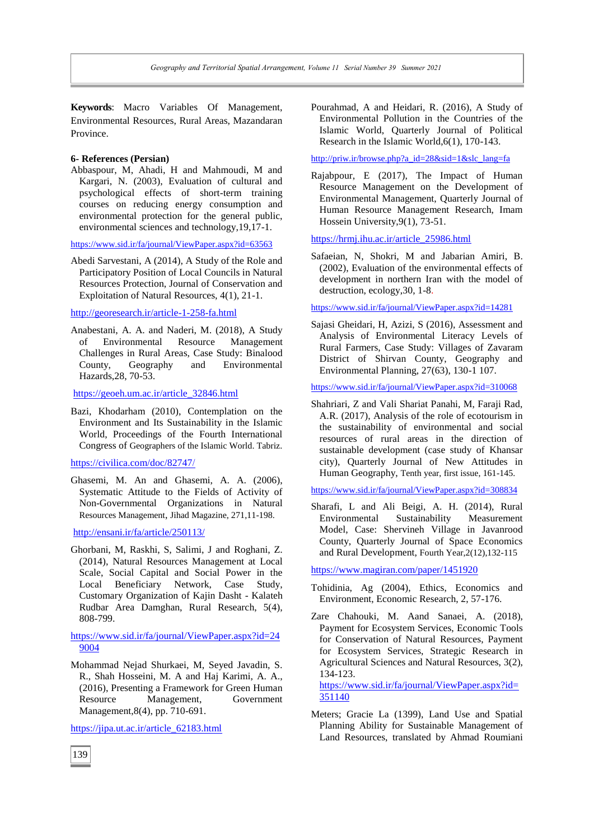*Geography and Territorial Spatial Arrangement, Volume 11 Serial Number 39 Summer 2021*

**Keywords**: Macro Variables Of Management, Environmental Resources, Rural Areas, Mazandaran Province.

### **6- References (Persian)**

Abbaspour, M, Ahadi, H and Mahmoudi, M and Kargari, N. (2003), Evaluation of cultural and psychological effects of short-term training courses on reducing energy consumption and environmental protection for the general public, environmental sciences and technology,19,17-1.

https://www.sid.ir/fa/journal/ViewPaper.aspx?id=63563

Abedi Sarvestani, A (2014), A Study of the Role and Participatory Position of Local Councils in Natural Resources Protection, Journal of Conservation and Exploitation of Natural Resources, 4(1), 21-1.

http://georesearch.ir/article-1-258-fa.html

Anabestani, A. A. and Naderi, M. (2018), A Study of Environmental Resource Management Challenges in Rural Areas, Case Study: Binalood County, Geography and Environmental Hazards,28, 70-53.

https://geoeh.um.ac.ir/article\_32846.html

Bazi, Khodarham (2010), Contemplation on the Environment and Its Sustainability in the Islamic World, Proceedings of the Fourth International Congress of Geographers of the Islamic World. Tabriz.

https://civilica.com/doc/82747/

Ghasemi, M. An and Ghasemi, A. A. (2006), Systematic Attitude to the Fields of Activity of Non-Governmental Organizations in Natural Resources Management, Jihad Magazine, 271,11-198.

http://ensani.ir/fa/article/250113/

Ghorbani, M, Raskhi, S, Salimi, J and Roghani, Z. (2014), Natural Resources Management at Local Scale, Social Capital and Social Power in the Local Beneficiary Network, Case Study, Customary Organization of Kajin Dasht - Kalateh Rudbar Area Damghan, Rural Research, 5(4), 808-799.

https://www.sid.ir/fa/journal/ViewPaper.aspx?id=24 9004

Mohammad Nejad Shurkaei, M, Seyed Javadin, S. R., Shah Hosseini, M. A and Haj Karimi, A. A., (2016), Presenting a Framework for Green Human Resource Management, Government Management,8(4), pp. 710-691.

https://jipa.ut.ac.ir/article\_62183.html

Pourahmad, A and Heidari, R. (2016), A Study of Environmental Pollution in the Countries of the Islamic World, Quarterly Journal of Political Research in the Islamic World,6(1), 170-143.

http://priw.ir/browse.php?a\_id=28&sid=1&slc\_lang=fa

Rajabpour, E (2017), The Impact of Human Resource Management on the Development of Environmental Management, Quarterly Journal of Human Resource Management Research, Imam Hossein University,9(1), 73-51.

https://hrmj.ihu.ac.ir/article\_25986.html

Safaeian, N, Shokri, M and Jabarian Amiri, B. (2002), Evaluation of the environmental effects of development in northern Iran with the model of destruction, ecology,30, 1-8.

https://www.sid.ir/fa/journal/ViewPaper.aspx?id=14281

Sajasi Gheidari, H, Azizi, S (2016), Assessment and Analysis of Environmental Literacy Levels of Rural Farmers, Case Study: Villages of Zavaram District of Shirvan County, Geography and Environmental Planning, 27(63), 130-1 107.

<https://www.sid.ir/fa/journal/ViewPaper.aspx?id=310068>

Shahriari, Z and Vali Shariat Panahi, M, Faraji Rad, A.R. (2017), Analysis of the role of ecotourism in the sustainability of environmental and social resources of rural areas in the direction of sustainable development (case study of Khansar city), Quarterly Journal of New Attitudes in Human Geography, Tenth year, first issue, 161-145.

https://www.sid.ir/fa/journal/ViewPaper.aspx?id=308834

Sharafi, L and Ali Beigi, A. H. (2014), Rural Environmental Sustainability Measurement Model, Case: Shervineh Village in Javanrood County, Quarterly Journal of Space Economics and Rural Development, Fourth Year,2(12),132-115

https://www.magiran.com/paper/1451920

- Tohidinia, Ag (2004), Ethics, Economics and Environment, Economic Research, 2, 57-176.
- Zare Chahouki, M. Aand Sanaei, A. (2018), Payment for Ecosystem Services, Economic Tools for Conservation of Natural Resources, Payment for Ecosystem Services, Strategic Research in Agricultural Sciences and Natural Resources, 3(2), 134-123.

https://www.sid.ir/fa/journal/ViewPaper.aspx?id= 351140

Meters; Gracie La (1399), Land Use and Spatial Planning Ability for Sustainable Management of Land Resources, translated by Ahmad Roumiani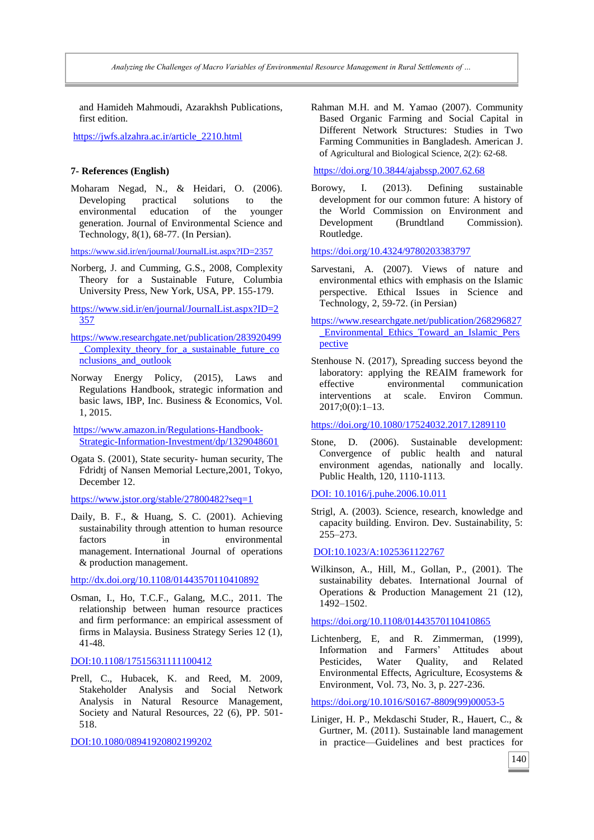*Analyzing the Challenges of Macro Variables of Environmental Resource Management in Rural Settlements of …*

and Hamideh Mahmoudi, Azarakhsh Publications, first edition.

https://jwfs.alzahra.ac.ir/article\_2210.html

## **7- References (English)**

Moharam Negad, N., & Heidari, O. (2006). Developing practical solutions to the environmental education of the younger generation. Journal of Environmental Science and Technology, 8(1), 68-77. (In Persian).

<https://www.sid.ir/en/journal/JournalList.aspx?ID=2357>

Norberg, J. and Cumming, G.S., 2008, Complexity Theory for a Sustainable Future, Columbia University Press, New York, USA, PP. 155-179.

[https://www.sid.ir/en/journal/JournalList.aspx?ID=2](https://www.sid.ir/en/journal/JournalList.aspx?ID=2357) [357](https://www.sid.ir/en/journal/JournalList.aspx?ID=2357)

- [https://www.researchgate.net/publication/283920499](https://www.researchgate.net/publication/283920499_Complexity_theory_for_a_sustainable_future_conclusions_and_outlook) [\\_Complexity\\_theory\\_for\\_a\\_sustainable\\_future\\_co](https://www.researchgate.net/publication/283920499_Complexity_theory_for_a_sustainable_future_conclusions_and_outlook) [nclusions\\_and\\_outlook](https://www.researchgate.net/publication/283920499_Complexity_theory_for_a_sustainable_future_conclusions_and_outlook)
- Norway Energy Policy, (2015), Laws and Regulations Handbook, strategic information and basic laws, IBP, Inc. Business & Economics, Vol. 1, 2015.

[https://www.amazon.in/Regulations-Handbook-](https://www.amazon.in/Regulations-Handbook-Strategic-Information-Investment/dp/1329048601)[Strategic-Information-Investment/dp/1329048601](https://www.amazon.in/Regulations-Handbook-Strategic-Information-Investment/dp/1329048601)

Ogata S. (2001), State security- human security, The Fdridtj of Nansen Memorial Lecture,2001, Tokyo, December 12.

https://www.jstor.org/stable/27800482?seq=1

Daily, B. F., & Huang, S. C. (2001). Achieving sustainability through attention to human resource factors in environmental management. International Journal of operations & production management.

<http://dx.doi.org/10.1108/01443570110410892>

Osman, I., Ho, T.C.F., Galang, M.C., 2011. The relationship between human resource practices and firm performance: an empirical assessment of firms in Malaysia. Business Strategy Series 12 (1), 41-48.

## DOI:10.1108/17515631111100412

Prell, C., Hubacek, K. and Reed, M. 2009, Stakeholder Analysis and Social Network Analysis in Natural Resource Management, Society and Natural Resources, 22 (6), PP. 501- 518.

DOI:10.1080/08941920802199202

Rahman M.H. and M. Yamao (2007). Community Based Organic Farming and Social Capital in Different Network Structures: Studies in Two Farming Communities in Bangladesh. American J. of Agricultural and Biological Science, 2(2): 62-68.

<https://doi.org/10.3844/ajabssp.2007.62.68>

Borowy, I. (2013). Defining sustainable development for our common future: A history of the World Commission on Environment and Development (Brundtland Commission). Routledge.

<https://doi.org/10.4324/9780203383797>

Sarvestani, A. (2007). Views of nature and environmental ethics with emphasis on the Islamic perspective. Ethical Issues in Science and Technology, 2, 59-72. (in Persian)

[https://www.researchgate.net/publication/268296827](https://www.researchgate.net/publication/268296827_Environmental_Ethics_Toward_an_Islamic_Perspective) [\\_Environmental\\_Ethics\\_Toward\\_an\\_Islamic\\_Pers](https://www.researchgate.net/publication/268296827_Environmental_Ethics_Toward_an_Islamic_Perspective) [pective](https://www.researchgate.net/publication/268296827_Environmental_Ethics_Toward_an_Islamic_Perspective)

Stenhouse N. (2017), Spreading success beyond the laboratory: applying the REAIM framework for effective environmental communication interventions at scale. Environ Commun. 2017;0(0):1–13.

<https://doi.org/10.1080/17524032.2017.1289110>

Stone, D. (2006). Sustainable development: Convergence of public health and natural environment agendas, nationally and locally. Public Health, 120, 1110-1113.

### DOI: 10.1016/j.puhe.2006.10.011

Strigl, A. (2003). Science, research, knowledge and capacity building. Environ. Dev. Sustainability, 5: 255–273.

DOI:10.1023/A:1025361122767

Wilkinson, A., Hill, M., Gollan, P., (2001). The sustainability debates. International Journal of Operations & Production Management 21 (12), 1492–1502.

<https://doi.org/10.1108/01443570110410865>

Lichtenberg, E, and R. Zimmerman, (1999), Information and Farmers' Attitudes about Pesticides, Water Quality, and Related Environmental Effects, Agriculture, Ecosystems & Environment, Vol. 73, No. 3, p. 227-236.

[https://doi.org/10.1016/S0167-8809\(99\)00053-5](https://doi.org/10.1016/S0167-8809(99)00053-5)

Liniger, H. P., Mekdaschi Studer, R., Hauert, C., & Gurtner, M. (2011). Sustainable land management in practice—Guidelines and best practices for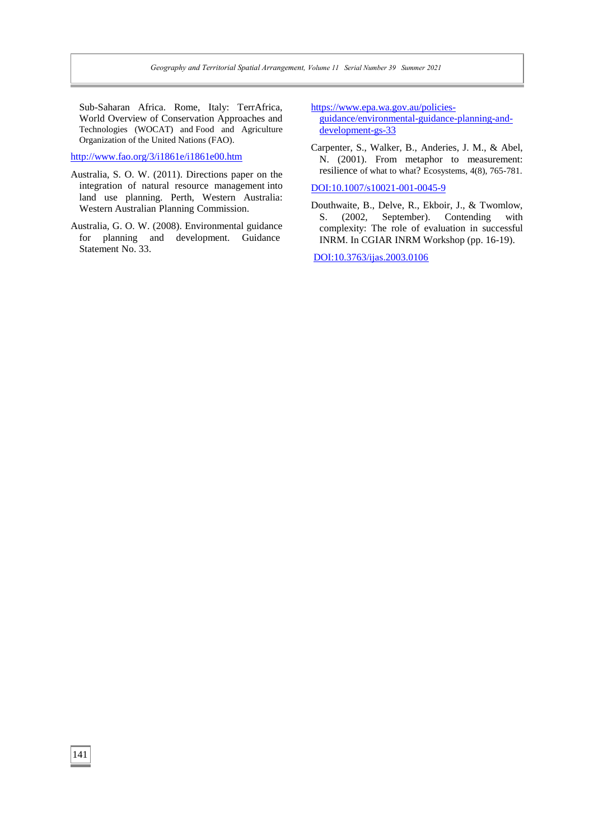*Geography and Territorial Spatial Arrangement, Volume 11 Serial Number 39 Summer 2021*

Sub-Saharan Africa. Rome, Italy: TerrAfrica, World Overview of Conservation Approaches and Technologies (WOCAT) and Food and Agriculture Organization of the United Nations (FAO).

### <http://www.fao.org/3/i1861e/i1861e00.htm>

- Australia, S. O. W. (2011). Directions paper on the integration of natural resource management into land use planning. Perth, Western Australia: Western Australian Planning Commission.
- Australia, G. O. W. (2008). Environmental guidance for planning and development. Guidance Statement No. 33.
- [https://www.epa.wa.gov.au/policies](https://www.epa.wa.gov.au/policies-guidance/environmental-guidance-planning-and-development-gs-33)[guidance/environmental-guidance-planning-and](https://www.epa.wa.gov.au/policies-guidance/environmental-guidance-planning-and-development-gs-33)[development-gs-33](https://www.epa.wa.gov.au/policies-guidance/environmental-guidance-planning-and-development-gs-33)
- Carpenter, S., Walker, B., Anderies, J. M., & Abel, N. (2001). From metaphor to measurement: resilience of what to what? Ecosystems, 4(8), 765-781.

### DOI:10.1007/s10021-001-0045-9

Douthwaite, B., Delve, R., Ekboir, J., & Twomlow, S. (2002, September). Contending with complexity: The role of evaluation in successful INRM. In CGIAR INRM Workshop (pp. 16-19).

DOI:10.3763/ijas.2003.0106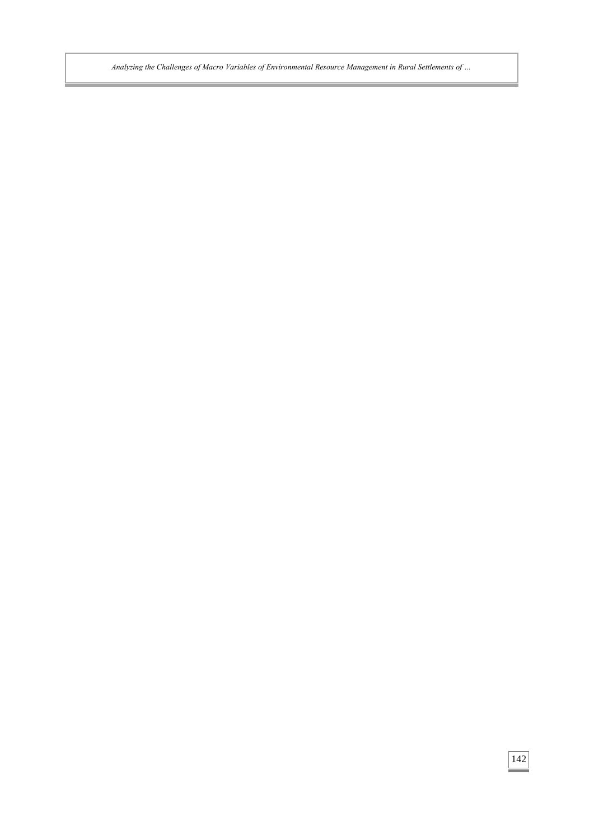*Analyzing the Challenges of Macro Variables of Environmental Resource Management in Rural Settlements of …*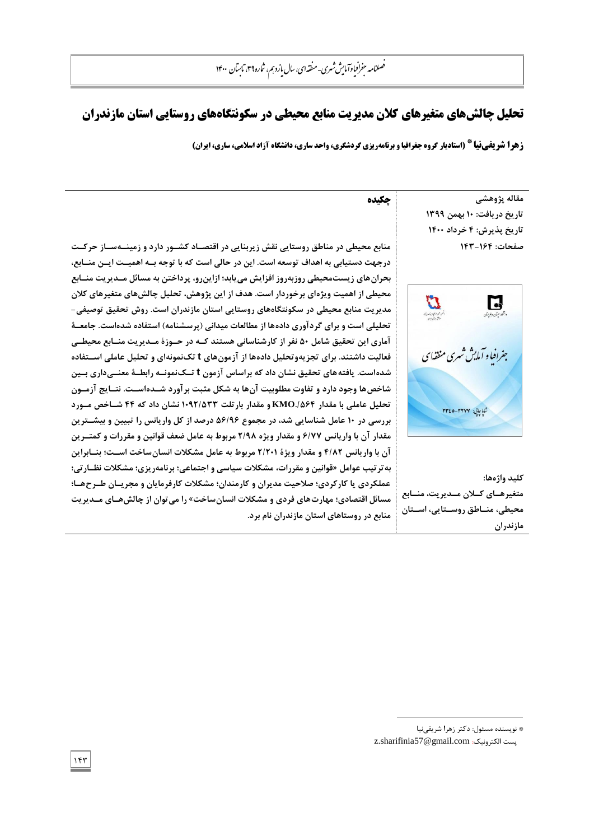# **تحلیل چالشهای متغیرهای کالن مدیریت منابع محیطی در سکونتگاههای روستایی استان مازندران**

**زهرا شریفینیا \* (استادیار گروه جغرافیا و برنامهریزی گردشگری، واحد ساری، دانشگاه آزاد اسلامی، ساری، ایران)** 

**مقاله پضوهؾی تاریخ دریافت: 10 تهمن 1399 تاریخ پذیزػ: 4 خزداد 1400 صفحات: 143-164**



**کلیذ واصهها:**  متغیرهــای کــلان مــدیریت، منــابع محیطی، منــاطق روســتایی، اســتان **مازندران** 

**چکیده**

**منابع محیطی در مناطق روستایی نقش زیربنایی در اقتصـاد کشـور دارد و زمینــهسـاز حرکـت** درجهت دستیابی به اهداف توسعه است. این در حالی است که با توجه بــه اهمیــت ایــن منــابع، بحران *ه*ای زیست،محیطی روزبهروز افزایش می یابد؛ ازاینرو، پرداختن به مسائل مــدیریت منــابع محیطی از اهمیت ویژهای برخوردار است. هدف از این پژوهش، تحلیل چالشهای متغیرهای کلان **مذیزیت م اتغ محیطی در عکرنتگاههاک روعتایی اعتای ماسنذرای اعت. روػ تحقی ترصیفی-** تحلیلی است و برای گردآوری دادهها از مطالعات میدانی (پرسشنامه) استفاده شدهاست. جامعــهٔ آماری این تحقیق شامل ۵۰ نفر از کارشناسانی هستند کـه در حـوزهٔ مـدیریت منــابع محیطــی **فؼالیت داؽت ذ. تزاک تدشیهوتحلیل دادهها اس آسمریهاک t تکنمرنهاک و تحلیل ػاملی اعاتفاده**  شدهاست. یافتههای تحقیق نشان داد که براساس آزمون t تــک نمونــه رابطــهٔ معنــیداری بــین شاخص ها وجود دارد و تفاوت مطلوبیت آنها به شکل مثبت برآورد شــدهاســت. نتــایج آزمــون **تحلیل ػاملی تا مقذار ./564KMO و مقذار تارتلت 1092/533 نؾای داد که 44 ؽااخص ماررد تزرعی در 10 ػامل ؽ اعایی ؽذع در مدمرع 56/96 درصذ اس کل واریانظ را تثیین و تیؾاتزین مقذار آی تا واریانظ 6/77 و مقذار ویضه 2/98 مزترط ته ػامل ضؼف قرانین و مقزرات و کمتازین آی تا واریانظ 4/82 و مقذار ویضم 2/201 مزترط ته ػامل مؾکدت انغایعاخت اعات؛ ت ااتزاین**  به ترتیب عوامل «قوانین و مقررات، مشکلات سیاسی و اجتماعی؛ برنامهریزی؛ مشکلات نظـارتی؛ عملکردی یا کارکردی؛ صلاحیت مدیران و کارمندان؛ مشکلات کارفرمایان و مجریــان طــرحهــا؛ **مغائل اقتصادک؛ مهارتهاک فزدک و مؾکدت انغایعاخت« را میترای اس چالؼهااک ماذیزیت م اتغ در روعتاهاک اعتای ماسنذرای نام تزد.**

<sup>\*</sup> نويسنده مسئول: دكتر زهرا شريفيiيا

z.sharifinia57@gmail.com يست الكترونيك: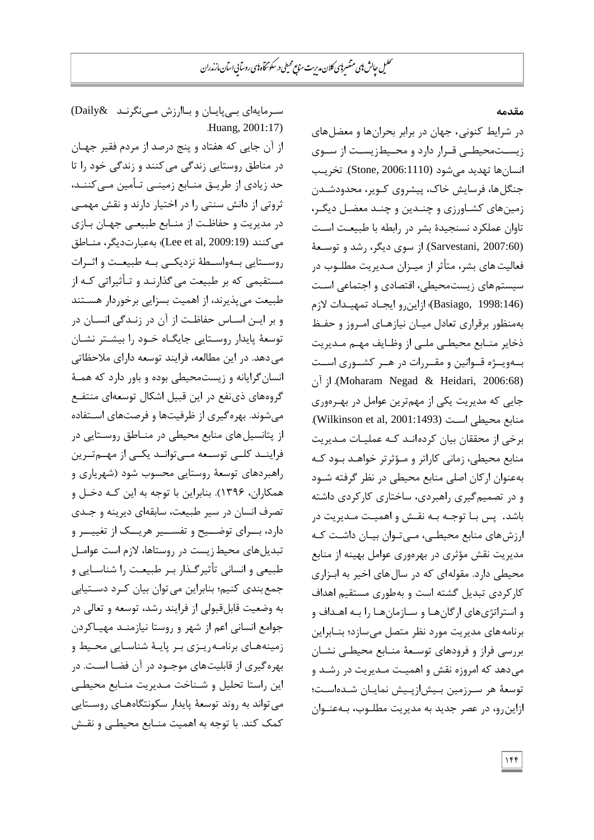## **مقذمه**

در شرايط كنوني، جهان در برابر بحران ها و معضل هاي زيستمحيطـى قـرار دارد و محـيطزيسـت از سـوى انسان ها تهديد مي شود (Stone, 2006:1110). تخريب جنگلها، فرسایش خاک، پیشروی کـویر، محدودشـدن زمینهای کشـاورزی و چنـدین و چنـد معضـل دیگـر، تاوان عملكرد نسنجيدة بشر در رابطه با طبيعت است از سوی دیگر، رشد و توسـعهٔ (Sarvestani, 2007:60). فعالیت های بشر، متأثر از میـزان مـدیریت مطلـوب در سیستم های زیستمحیطی، اقتصادی و اجتماعی است ازاين و ايجـاد تمهيـدات لازم (Basiago, 1998:146) بهمنظور برقراری تعادل میـان نیازهـای امـروز و حفـظ ذخاير منـابع محيطـي ملـي از وظـايف مهـم مـديريت بتهويتژه قتوانين و مقتررات در هتر كشتوري استت ٖآ اص .)Moharam Negad & Heidari, 2006:68) جایی که مدیریت یکی از مهمترین عوامل در به رهوری منابع محيطي است (Wilkinson et al, 2001:1493). برخی از محققان بیان کردهانـد کـه عملیـات مـدیریت منابع محیطی، زمانی کاراتر و مـؤثرتر خواهـد بـود کـه بهعنوان اركان اصلي منابع محيطي در نظر گرفته شـود و در تصمیم گیری راهبردی، ساختاری کارکردی داشته باشد. پس بـا توجـه بـه نقـش و اهميـت مـديريت در ارزشهای منابع محیطی، میتوان بیـان داشـت کـه مدیریت نقش مؤثری در بهرهوری عوامل بهینه از منابع محیطی دارد. مقولهای که در سال های اخیر به ابـزاری كاركردي تبديل گشته است و بهطوري مستقيم اهداف و استراتژیهای ارگانهـا و سـازمانهـا را بـه اهـداف و برنامه های مدیریت مورد نظر متصل میسازد؛ بنـابراین بررسی فراز و فرودهای توسـعهٔ منـابع محیطـی نشـان می دهد که امروزه نقش و اهمیت مـدیریت در رشـد و توسعهٔ هر سـرزمین بـیش|زیـیش نمایـان شـدهاسـت؛ ازاین رو، در عصر جدید به مدیریت مطلـوب، بـهعنـوان

سرمایهای بیپایان و باارزش مینگرند &Daily) .Huang, 2001:17)

از آن جایی که هفتاد و پنج درصد از مردم فقیر جهـان در مناطق روستایی زندگی می كنند و زندگی خود را تا حد زيادي از طريـق منــابع زمينــي تــأمين مــي كننــد، ثروتی از دانش سنتی را در اختیار دارند و نقش مهمی در مديريت و حفاظت از منـابع طبيعـي جهـان بـازي می كنند (Lee et al, 2009:19)؛ به عبارت دیگر، منـاطق روسـتايي بــهواسـطهٔ نزديكــي بــه طبيعـت و اثــرات مستقیمی که بر طبیعت می گذارنـد و تـأثیراتی کـه از طبیعت می پذیرند، از اهمیت بسزایی برخوردار هسـتند و بر ایـن اسـاس حفاظـت از آن در زنـدگی انسـان در توسعهٔ پایدار روسـتایی جایگـاه خـود را بیشـتر نشـان می دهد. در این مطالعه، فرایند توسعه دارای ملاحظاتی انسان گرایانه و زیستمحیطی بوده و باور دارد که همـهٔ گروههای ذی نفع در این قبیل اشکال توسعهای منتفـع می شوند. بهره گیری از ظرفیتها و فرصتهای اسـتفاده از پتانسیل های منابع محیطی در منـاطق روسـتایی در فراینــد کلــی توسـعه مــی توانــد یکــی از مهــمتــرین راهبردهای توسعهٔ روستایی محسوب شود (شهریاری و همکاران، ۱۳۹۶). بنابراین با توجه به این کـه دخـل و تصرف انسان در سیر طبیعت، سابقهای دیرینه و جـدی دارد، بسراي توضــيح و تفســير هريـــک از تغييـــر و تبديلهاى محيط زيست در روستاها، لازم است عوامـل طبیعی و انسانی تأثیرگذار بـر طبیعـت را شناسـایی و جمع بندي كنيم؛ بنابراين مي توان بيان كـرد دسـتيابي به وضعیت قابلقبولی از فرایند رشد، توسعه و تعالی در جوامع انسانی اعم از شهر و روستا نیازمند مهیاکردن زمينههـاي برنامـهريـزي بـر پايـهٔ شناسـايي محـيط و بهره گیری از قابلیتهای موجـود در آن فضـا اسـت. در این راستا تحلیل و شـناخت مـدیریت منـابع محیطـی می تواند به روند توسعهٔ پایدار سکونتگاههـای روسـتایی كمک کند. با توجه به اهمیت منـابع محیطـی و نقـش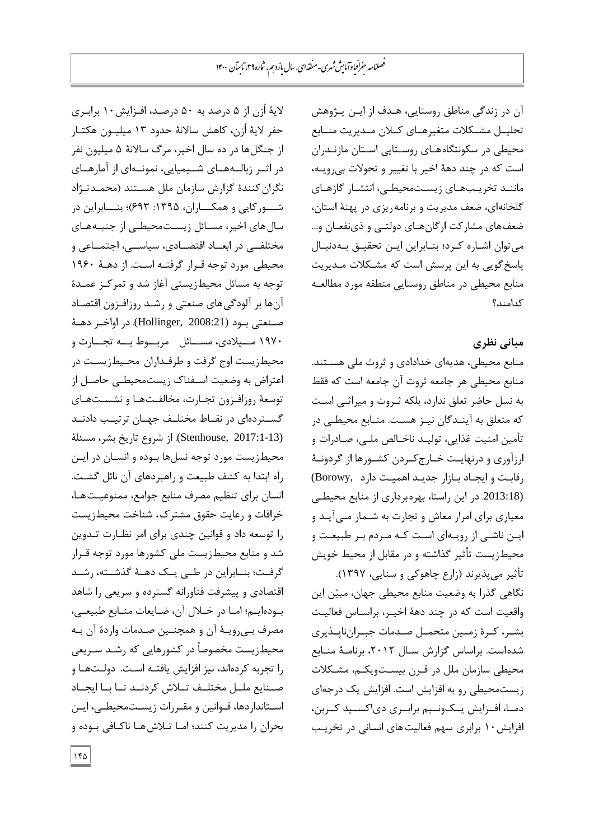لايهٔ اُزن از ۵ درصد به ۵۰ درصـد، افـزايش١٠ برابـري حفر لايهٔ اُزن، كاهش سالانهٔ حدود ١٣ ميليــون هكتــار از جنگلها در ده سال اخير، مرگ سالانهٔ ۵ ميليون نفر در اثــر زبالــههــاي شــيميايي، نمونــهاي از آمارهــاي نگران کنندهٔ گزارش سازمان ملل هسـتند (محمـدنـژاد شـــوركايي و همكــــاران، ۱۳۹۵: ۶۹۳)؛ بنــــابراين در سال های اخیر، مسـائل زیسـتمحیطـی از جنبـههـای مختلفــی در ابعــاد اقتصــادی، سیاســی، اجتمــاعی و محیطی مورد توجه قـرار گرفتـه اسـت. از دهـهٔ ۱۹۶۰ توجه به مسائل محيطزيستي آغاز شد و تمركـز عمـدهٔ آنها بر آلودگیهای صنعتی و رشـد روزافـزون اقتصـاد صنعتي بـود (2008:21 ,Hollinger). در اواخـر دهــهٔ ۱۹۷۰ مــيلادى، مســائل ِ مربــوط بـــه تجــارت و محيطزيست اوج گرفت و طرفـداران محـيطزيسـت در اعتراض به وضعیت اسـفناک زیستمحیطـی حاصـل از توسعهٔ روزافـزون تجـارت، مخالفـتهـا و نشسـتهـاى گسـتردهاى در نقـاط مختلـف جهـان ترتيـب دادنـد (2017:1-13 ,Stenhouse) از شروع تاريخ بشر، مسئلة محيط; يست مورد توجه نسلها بوده و انسـان در ايـن راه ابتدا به كشف طبيعت و راهبردهاي آن نائل گشت. انسان برای تنظیم مصرف منابع جوامع، ممنوعیت هـا، خرافات و رعايت حقوق مشترک، شناخت محيطزيست را توسعه داد و قوانین چندی برای امر نظـارت تـدوین شد و منابع محيطزيست ملي كشورها مورد توجه قـرار گرفت؛ بنــابراین در طــی یــک دهــهٔ گذشــته، رشــد اقتصادی و پیشرفت فناورانه گسترده و سریعی را شاهد بودهايم؛ امـا در خـلال آن، ضـايعات منـابع طبيعـي، مصرف بـيرويــهٔ آن و همچنــين صـدمات واردهٔ آن بــه محيطزيست مخصوصاً در كشورهايي كه رشـد سـريعي را تجربه كردهاند، نيز افزايش يافتـه اسـت. دولـتهـا و صـنايع ملــل مختلــف تــلاش كردنــد تــا بــا ايجــاد استانداردها، قـوانين و مقـررات زيسـتمحيطـى، ايـن بحران را مديريت كنند؛ امـا تـلاش هـا ناكـافي بـوده و آن در زندگی مناطق روستایی، هـدف از ایـن پـژوهش تحليــل مشــكلات متغيرهــاي كــلان مــديريت منــابع محیطی در سکونتگاه هـای روسـتایی اسـتان مازنـدران است که در چند دههٔ اخیر با تغییر و تحولات بی رویـه، ماننـد تخریـبهـای زیسـتمحیطـی، انتشـار گازهـای گلخانهای، ضعف مدیریت و برنامهریزی در پهنهٔ استان، ضعفهای مشارکت ارگانهـای دولتـی و ذینفعـان و… می توان اشاره كرد؛ بنـابراين ايـن تحقيـق بـهدنبـال پاسخ گویی به این پرسش است که مشـکلات مـدیریت منابع محيطي در مناطق روستايي منطقه مورد مطالعـه كدامند؟

# **مثانی نظزک**

منابع محیطی، هدیهای خدادادی و ثروث ملی هستند. منابع محيطي هر جامعه ثروت آن جامعه است كه فقط به نسل حاضر تعلق ندارد، بلكه ثـروت و ميراثـي اسـت كه متعلق به آینـدگان نیـز هسـت. منـابع محیطـی در تأمين امنيت غذايي، توليـد ناخـالص ملـي، صـادرات و ارزآوری و درنهایت خـارج کـردن کشـورها از گردونـهٔ رقابت و ايجـاد بـازار جديـد اهميـت دارد ,Borowy (2013:18 در این راستا، بهرهبرداری از منابع محیطی معیاری برای امرار معاش و تجارت به شـمار مـی آیـد و ايـن ناشـى از رويـهاى اسـت كـه مـردم بـر طبيعـت و محيطزيست تأثير گذاشته و در مقابل از محيط خويش تأثیر می پذیرند (زارع چاهوکی و سنایی، ۱۳۹۷).

نگاهی گذرا به وضعیت منابع محیطی جهان، مبیّن این واقعيت است كه در چند دههٔ اخيـر، براسـاس فعاليـت بشـر، كـرهٔ زمـين متحمـل صـدمات جبـرانِنايــذيري شده است. براساس گزارش سـال ٢٠١٢، برنامـهٔ منــابع محیطی سازمان ملل در قـرن بیسـتویکـم، مشـکلات زیستمحیطی رو به افزایش است. افزایش یک درجهای دمـا، افـزايش يـكونـيم برابـري دي|كسـيد كـربن، افزایش ١٠ برابری سهم فعالیت های انسانی در تخریب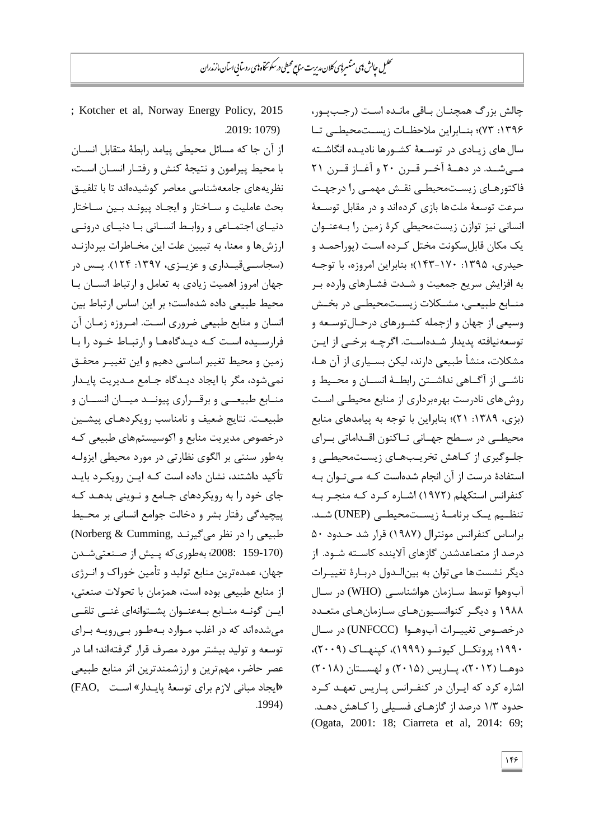; Kotcher et al, Norway Energy Policy, 2015 .2019: 1079)

از آن جا که مسائل محیطی پیامد رابطهٔ متقابل انسـان با محيط پيرامون و نتيجهٔ کنش و رفتـار انسـان اسـت، نظریههای جامعهشناسی معاصر کوشیدهاند تا با تلفیــق بحث عامليت و سـاختار و ايجـاد پيونـد بـين سـاختار دنيـاي اجتمـاعي و روابـط انسـاني بـا دنيـاي درونـي ارزشها و معنا، به تبيين علت اين مخـاطرات بپردازنـد (سجاسے قیـداری و عزیـزی، ١٣٩٧: ١٢۴). پـس در جهان امروز اهميت زيادى به تعامل و ارتباط انسـان بـا محيط طبيعي داده شده است؛ بر اين اساس ارتباط بين انسان و منابع طبیعی ضروری است. امروزه زمـان آن فرارسيده است كـه ديـدگاههـا و ارتبـاط خـود را بـا زمين و محيط تغيير اساسي دهيم و اين تغييـر محقـق نمی شود، مگر با ایجاد دیـدگاه جـامع مـدیریت پایـدار منبابع طبیعتی و برقسراری پیونسد میسان انسسان و طبیعت. نتایج ضعیف و نامناسب رویکردهـای پیشـین درخصوص مدیریت منابع و اکوسیستمهای طبیعی کـه به طور سنتي بر الگوي نظارتي در مورد محيطي ايزولـه تأكيد داشتند، نشان داده است كـه ايـن رويكـرد بايـد جای خود را به رویکردهای جـامع و نـوینی بدهـد کـه ييچيدگى رفتار بشر و دخالت جوامع انسانى بر محيط ًج٣ٔ٥ سا دس ِ٘ش ٥ٌ٣ٔش٘تذ ,Cumming & Norberg( (170-159 2008؛ بهطوری كه پیش از صنعتیشدن جهان، عمده ترین منابع تولید و تأمین خوراک و انــرژی از منابع طبیعی بوده است، همزمان با تحولات صنعتی، ايــن گونــه منــابع بــهعنــوان پشــتوانهای غنــی تلقــی میشده اند که در اغلب مـوارد بـهطـور بـیرویـه بـرای توسعه و تولید بیشتر مورد مصرف قرار گرفتهاند؛ اما در عصر حاضر، مهم ترین و ارزشمندترین اثر منابع طبیعی «ايجاد مباني لازم براي توسعهٔ پايدار» است (FAO, .1994)

چالش بزرگ همچنـان باقی مانـده اسـت (رجـبپـور، ١٣٩۶: ٧٣)؛ بنيابراين ملاحظيات زيستمجيطي تيا سال های زیبادی در توسیعهٔ کشبورها نادیبده انگاشته مبے،شــد. در دھــهٔ آخــر قــرن ۲۰ و آغــاز قــرن ۲۱ فاکتورهـاي زيسـتمحيطـي نقـش مهمـي را درجهـت سرعت توسعهٔ ملتها بازی کردهاند و در مقابل توسـعهٔ انسانی نیز توازن زیستمحیطی کرهٔ زمین را بـهعنـوان یک مکان قابلِسکونت مختل کـرده اسـت (پوراحمـد و حيدري، ١٣٩۵: ١٤٧٠-١۴٣)؛ بنابراين امروزه، با توجـه به افزایش سریع جمعیت و شـدت فشـارهای وارده بـر منــابع طبيعــي، مشــكلات زيســتمحيطــي در بخــش وسيعي از جهان و ازجمله كشـورهاي درحـال توسـعه و توسعهنيافته پديدار شـدهاسـت. اگرچـه برخـى از ايـن مشكلات، منشأ طبيعي دارند، ليكن بسـياري از آن هـا، ناشـبي از آگــاهي نداشــتن رابطــهٔ انســان و محــيط و روش های نادرست بهرهبرداری از منابع محیطے است (بزی، ١٣٨٩: ٢١)؛ بنابراین با توجه به پیامدهای منابع محیطــی در ســطح جهــانی تــاکنون اقــداماتی بــرای جلـوگیری از کـاهش تخریـبهـای زیسـتمحیطـی و استفادهٔ درست از آن انجام شدهاست کـه مـیتوان بـه کنفرانس استکهلم (۱۹۷۲) اشـاره کـرد کـه منجـر بـه تنظيم يك برنامــهٔ زيسـتمحيطــى (UNEP) شــد. براساس كنفرانس مونترال (١٩٨٧) قرار شد حـدود ۵۰ درصد از متصاعدشدن گازهای آلاینده کاسـته شـود. از ديگر نشست ها مي توان به بين الـدول دربـارهٔ تغييـرات آب وهوا توسط سـازمان هواشناسـي (WHO) در سـال ۱۹۸۸ و دیگـر کنوانسـیونِهـای سـازمانِهـای متعـدد درخصوص تغييـرات آبوهـوا (UNFCCC) در سـال ١٩٩٠؛ پروتكــل كيوتــو (١٩٩٩)، كينهــاك (٢٠٠٩)، دوهــا (٢٠١٢)، پــاريس (٢٠١۵) و لهســتان (٢٠١٨) اشاره کرد که ایبران در کنفرانس پتاریس تعهید کرد حدود ۱/۳ درصد از گازهـای فسـيلي را كـاهش دهـد. (Ogata, 2001: 18; Ciarreta et al, 2014: 69;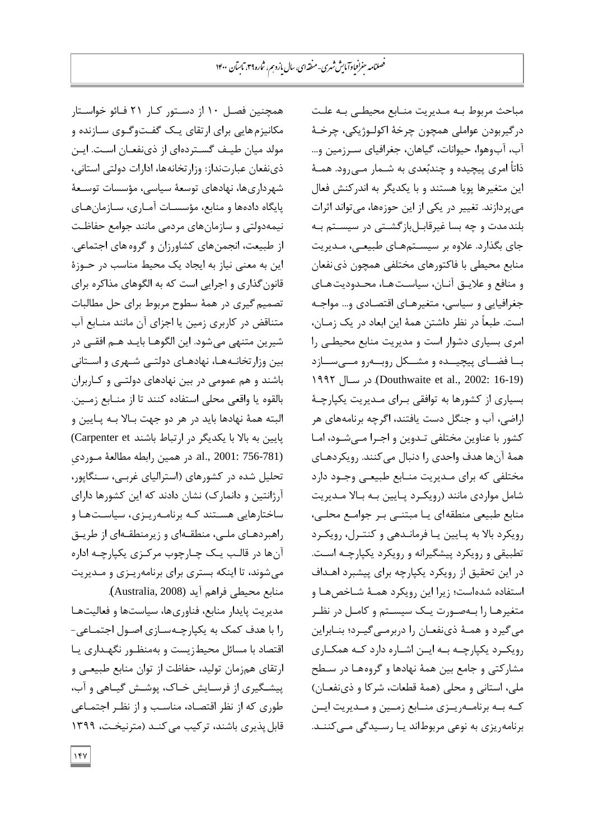همچنین فصـل ۱۰ از دسـتور کـار ۲۱ فـائو خواسـتار مکانیزم هایی برای ارتقای یـک گفـتوگـوی سـازنده و مولد میان طیـف گسـتردهای از ذینفعـان اسـت. ایـن ذي نفعان عبارتنداز: وزارتخانهها، ادارات دولتي استاني، .<br>شهر داریها، نهادهای توسعهٔ سیاسی، مؤسسات توسـعهٔ پایگاه دادهها و منابع، مؤسسـات آمـاری، سـازمانهـای نیمهدولتی و سازمانهای مردمی مانند جوامع حفاظت از طبیعت، انجمنهای کشاورزان و گروه های اجتماعی. این به معنی نیاز به ایجاد یک محیط مناسب در حـوزهٔ قانون گذاری و اجرایی است که به الگوهای مذاکره برای تصمیم گیری در همهٔ سطوح مربوط برای حل مطالبات متناقض در کاربری زمین یا اجزای آن مانند منـابع آب شیرین متنهی میشود. این الگوهـا بایـد هـم افقـی در بین وزارتخانـههـا، نهادهـای دولتـی شـهری و اسـتانی باشند و هم عمومی در بین نهادهای دولتـی و کـاربران بالقوه يا واقعي محلي استفاده كنند تا از منـابع زمـين. البته همهٔ نهادها باید در هر دو جهت بـالا بـه پـایین و پایین به بالا با یکدیگر در ارتباط باشند Carpenter et) (756-781 al., 2001: در همين رابطه مطالعة موردي تحلیل شده در کشورهای (استرالیای غربـی، سـنگاپور، آرژانتین و دانمارک) نشان دادند که این کشورها دارای ساختارهایی هستند کـه برنامـهریـزی، سیاسـتهـا و راهبردهـای ملـی، منطقـهای و زیرمنطقـهای از طریـق آنها در قالب يـک چـارچوب مرکـزي يکپارچـه اداره می شوند، تا اینکه بستری برای برنامه ییزی و مـدیریت منابع محيطي فراهم آيد (Australia, 2008). مدیریت پایدار منابع، فناوریها، سیاستها و فعالیتها را با هدف كمک به يكپارچـهسـازي اصـول اجتمـاعي-

اقتصاد با مسائل محیط; پست و بهمنظـور نگهـداری پـا ارتقای همزمان تولید، حفاظت از توان منابع طبیعی و پیشگیری از فرسـایش خـاک، پوشـش گیـاهی و آب، طوری که از نظر اقتصـاد، مناسـب و از نظـر اجتمـاعی قابل یذیری باشند، ترکیب می کنـد (مترنیخـت، ١٣٩٩ مباحث مربوط بـه مـديريت منـابع محيطـى بـه علـت در گيربودن عواملي همچون چرخهٔ اکولـوژيکي، چرخـهٔ آب، آبوهوا، حيوانات، گياهان، جغرافياي سـرزمين و... ذاتاً امری پیچیده و چندبُعدی به شــمار مــی٫ود. همــهٔ این متغیرها پویا هستند و با یکدیگر به اندرکنش فعال می پردازند. تغییر در یکی از این حوزهها، میتواند اثرات بلندمدت و چه بسا غیرقابـلبازگشـتی در سیسـتم بـه جای بگذارد. علاوه بر سیستمهای طبیعی، مـدیریت منابع محیطی با فاکتورهای مختلفی همچون ذی نفعان و منافع و علايــق آنــان، سياسـت هــا، محـدوديت هـاي جغرافيايي و سياسي، متغيرهـاي اقتصـادي و... مواجـه است. طبعاً در نظر داشتن همهٔ این ابعاد در یک زمـان، امری بسیاری دشوار است و مدیریت منابع محیطی را بتا فضای پیچینده و مشکل روبهرو متی سازد 1992 َػتب دس .)Douthwaite et al., 2002: 16-19) بسياري از كشورها به توافقي بـراي مـديريت يكپارچـهٔ اراضی، آب و جنگل دست یافتند، اگرچه برنامههای هر كشور با عناوين مختلفي تـدوين و اجـرا مـيشـود، امـا همهٔ آنها هدف واحدی را دنبال می کنند. رویکردهـای مختلفي كه براي مـديريت منـابع طبيعـي وجـود دارد شامل مواردي مانند (رويكرد پـايين بـه بـالا مـديريت منابع طبیعی منطقهای یـا مبتنـی بـر جوامـع محلـی، رویکرد بالا به پایین یا فرمانـدهی و کنتـرل، رویکـرد تطبیقی و رویکرد پیشگیرانه و رویکرد یکپارچـه اسـت. در این تحقیق از رویکرد یکپارچه برای پیشبرد اهـداف استفاده شدهاست؛ زيرا اين رويكرد همـهٔ شـاخصهـا و متغيرهـا را بـهصـورت يـك سيسـتم و كامـل در نظـر می گیرد و همـهٔ ذي نفعـان را دربرمـي گيـرد؛ بنـابراين رویک رد یکپارچـه بـه ایـن اشـاره دارد کـه همکـاری مشاركتي و جامع بين همهٔ نهادها و گروههـا در سـطح ملي، استاني و محلي (همهٔ قطعات، شركا و ذي نفعـان) کته بته برنامته یتزی منتابع زمتین و متدیریت ایتن برنامه٫یزی به نوعی مربوطاند یـا ٫سـیدگی مـی کننـد.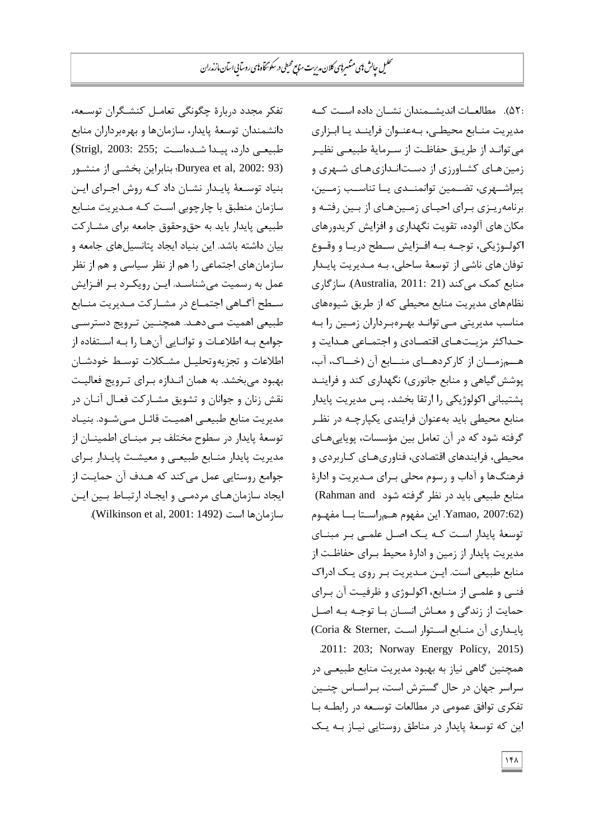تفكر مجدد دربارة چگونگى تعامل كنشگران توسعه، دانشمندان توسعهٔ پایدار، سازمانها و بهرهبرداران منابع طبیعی دارد، پیدا شدهاست ;255 :3003 (Strigl, 2003) (93 :Duryea et al, 2002: بنابراين بخشــى از منشــور بنیاد توسعهٔ پایـدار نشـان داد کـه روش اجـرای ایـن سازمان منطبق با چارچوبی است كـه مـديريت منـابع طبیعی پایدار باید به حقوحقوق جامعه برای مشـارکت بیان داشته باشد. این بنیاد ایجاد پتانسیلهای جامعه و سازمان های اجتماعی را هم از نظر سیاسی و هم از نظر عمل به رسمیت میشناسـد. ایـن رویکـرد بـر افـزایش سـطح آگــاهي اجتمــاع در مشــاركت مــديريت منــابع طبيعي اهميت مـي دهـد. همچنـين تـرويج دسترسـي جوامع بـه اطلاعـات و توانـايي آنهـا را بـه اسـتفاده از اطلاعات و تجزيهوتحليـل مشـكلات توسـط خودشـان بهبود میبخشد. به همان انـدازه بـرای تـرویج فعالیـت نقش زنان و جوانان و تشویق مشـارکت فعـال آنـان در مدیریت منابع طبیعی اهمیت قائـل مـیشـود. بنیـاد توسعهٔ پایدار در سطوح مختلف بـر مبنــای اطمینــان از مدیریت پایدار منـابع طبیعـی و معیشـت پایـدار بـرای جوامع روستايي عمل مي كند كه هـدف آن حمايـت از ايجاد سازمان هاى مردمى و ايجـاد ارتبـاط بـين ايـن سازمان ها است (Wilkinson et al, 2001: 1492).

:۵۲). مطالعـات انديشــمندان نشــان داده اســت كــه مدیریت منـابع محیطـی، بـهعنـوان فراینـد یـا ابـزاری می توانـد از طريـق حفاظـت از سـرمايهٔ طبيعـي نظيـر زمین هـای کشـاورزی از دسـتانـدازیهـای شـهری و پیراشـهری، تضـمین توانمنــدی یــا تناســب زمــین، برنامهریـزی بـرای احیـای زمـینهـای از بـین رفتـه و مکان های آلوده، تقویت نگهداری و افزایش کریدورهای اکولوژیکی، توجـه بـه افـزایش سـطح دریـا و وقــوع توفان های ناشی از توسعهٔ ساحلی، بـه مـدیریت پایـدار منابع کمک می کند (Australia, 2011: 21). سازگاری نظامهای مدیریت منابع محیطی که از طریق شیوههای مناسب مدیریتی مے توانـد بهـرهبـرداران زمـین را بـه حـداكثر مزيـتهـاي اقتصـادي و اجتمـاعي هـدايت و هــمزمــان از كاركردهــاي منـــابع آن (خــاك، آب، پوشش گیاهی و منابع جانوری) نگهداری کند و فراینـد یشتیبانی اکولوژیکی ۱٫ ارتقا بخشد. پس مدیریت پایدار منابع محیطی باید بهعنوان فرایندی یکپارچـه در نظـر گرفته شود که در آن تعامل بین مؤسسات، پویاییهـای محیطی، فرایندهای اقتصادی، فناوریهـای کـاربردی و فرهنگها و آداب و رسوم محلی بـرای مـدیریت و ادارهٔ منابع طبيعي بايد در نظر گرفته شود Rahman and) (2007:62 ,Yamao أين مفهوم هجراستا بـا مفهوم توسعة پايدار است كـه يـك اصـل علمـى بـر مبنـاى مدیریت پایدار از زمین و ادارهٔ محیط بـرای حفاظـت از منابع طبیعی است. ایـن مـدیریت بـر روی یـک ادراک فنی و علمی از منـابع، اکولـوژی و ظرفیـت آن بـرای حمايت از زندگي و معـاش انسـان بـا توجـه بـه اصـل پایداری آن منابع استوار است ,Coria & Sterner .2011: 203; Norway Energy Policy, 2015) همچنین گاهی نیاز به بهبود مدیریت منابع طبیعی در سراسر جهان در حال گسترش است، بـراسـاس چنـين تفكري توافق عمومي در مطالعات توسـعه در رابطـه بـا این كه توسعهٔ پایدار در مناطق روستایی نیـاز بـه یـك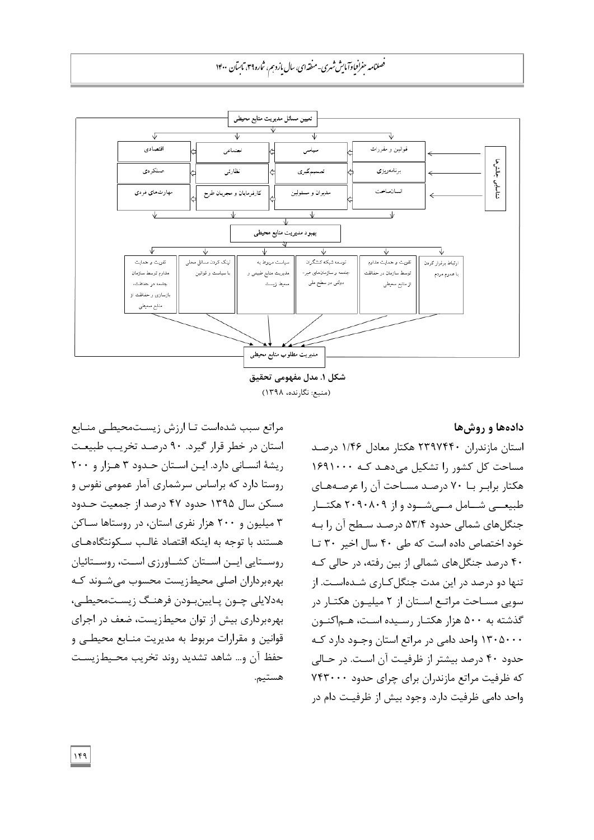.<br>صلنامه حغرافیاوآمایش شهری-مفقهای، سال مازدجم، شاره ۳۹، باسان ۱۴۰۰ ه



)منبع: نگارنده، 8931(

مراتع سبب شدهاست تتا ارزش زيستمحيطى منتابع استان در خطر قرار گیرد. ٩٠ درصد تخريب طبيعت ریشهٔ انسـانی دارد. ایـن اسـتان حـدود ۳ هـزار و ۲۰۰ روستا دارد که براساس سرشماری آمار عمومی نفوس و مسكن سال ۱۳۹۵ حدود ۴۷ درصد از جمعيت حـدود ۳ میلیون و ۲۰۰ هزار نفری استان، در روستاها سـاکن هستند با توجه به اينكه اقتصاد غالب سـكونتگاههـاى روسـتايي ايــن اســتان كشــاورزي اسـت، روســتائيان بهرهبرداران اصلی محيطزيست محسوب می شـوند كـه بهدلايلي چـون پـايينبـودن فرهنـگ زيسـتمحيطـي، بهرهبرداری بيش از توان محيطزيست، ضعف در اجراي قوانین و مقرارات مربوط به مدیریت منـابع محیطـی و حفظ آن و… شاهد تشديد روند تخريب محـيط;يسـت هستيم.

**دادهها و روػها**  استان مازندران ۲۳۹۷۴۴۰ هكتار معادل ۱/۴۶ درصد مساحت کل کشور را تشکیل می دهـد کـه ۱۶۹۱۰۰۰ هكتار برابير بيا ٧٠ درصد مسياحت آن را عرصيههاي طبیعــی شــامل مــیشــود و از ۲۰۹۰۸۰۹ هکتــار جنگل های شمالی حدود ۵۳/۴ درصد سطح آن را بـه خود اختصاص داده است که طی ۴۰ سال اخیر ۳۰ تـا ۴۰ درصد جنگلهای شمالی از بین رفته، در حالی ک تنها دو درصد در این مدت جنگل كـارى شـدهاسـت. از سويي مسـاحت مراتـع اسـتان از ٢ ميليـون هكتـار در گذشته به ۵۰۰ هزار هکتـار رسـيده اسـت، هـماكنـون ۱۳۰۵۰۰۰ واحد دامی در مراتع استان وجود دارد ک حدود ۴۰ درصد بیشتر از ظرفیت آن است. در حـالی که ظرفیت مراتع مازندران برای چرای حدود ۷۴۳۰۰۰ واحد دامی ظرفیت دارد. وجود بیش از ظرفیـت دام در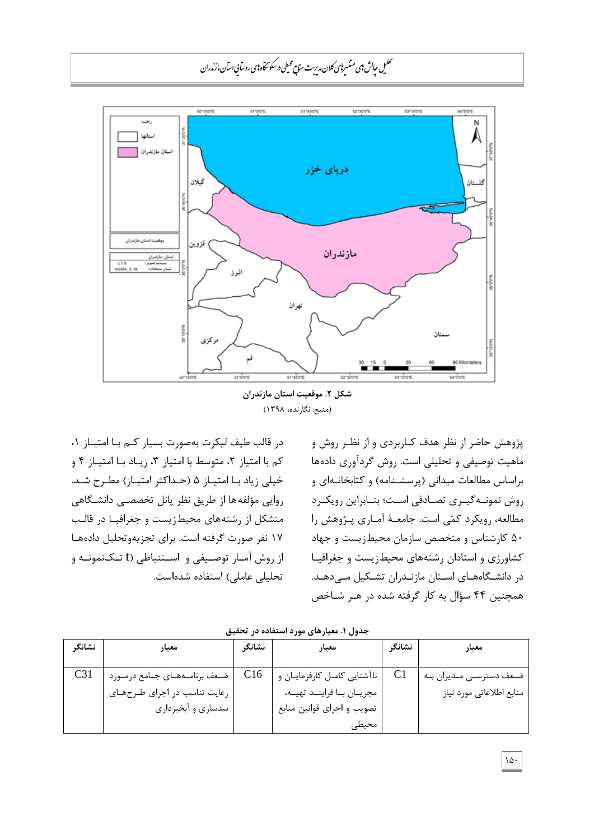

**ؽکل .2 مرقؼیت اعتای ماسنذرای** )منبع: نگارنده، 8931(

در قالب طيف ليكرت بهصورت بسيار كـم بـا امتيـاز ١، كم با امتياز ٢، متوسط با امتياز ٣، زيـاد بـا امتيـاز ۴ و خيلي زياد بـا امتيـاز ۵ (حـداكثر امتيـاز) مطـرح شـد. روايي مؤلفه ها از طريق نظر پانل تخصصي دانشگاهي متشكل از رشتههای محيطزيست و جغرافيـا در قالـب ١٧ نفر صورت گرفته است. برای تجزیهوتحلیل دادهها از روش آمـار توصـيفي و اسـتنباطي (t تـكنمونـه و تحلیلی عاملی) استفاده شدهاست.

پژوهش حاضر از نظر هدف کـاربردی و از نظـر روش و ماهیت توصیفی و تحلیلی است. روش گردآوری دادهها براساس مطالعات میدانی (پرسشـنامه) و کتابخانـهای و روش نمونــهگيــري تصــادفي اســت؛ بنــابراين رويكــرد مطالعه، رويكرد كمّي است. جامعـهٔ آمـاري پــژوهش را ۵۰ کارشناس و متخصص سازمان محيط; پست و جهاد کشاورزی و استادان رشتههای محيطزيست و جغرافيـا در دانشــگاههــای اســتان مازنــدران تشــکیل مــی۵هــد. همچنین ۴۴ سؤال به کار گرفته شده در هـر شـاخص

**جدول .1 معیارهای مورد استفاده در تحقیق**

| نشانگر          | معيار                         | نشانگ | معيار                          | نشانگر         | معيار                    |  |
|-----------------|-------------------------------|-------|--------------------------------|----------------|--------------------------|--|
|                 |                               |       |                                |                |                          |  |
| C <sub>31</sub> | ضعف برنامـههـاي جـامع درمـورد | C16   | ناأشنايي كامـل كارفرمايـان و   | C <sub>1</sub> | ضعف دسترسـي مـديران بـه  |  |
|                 | رعایت تناسب در اجرای طرحهای   |       | مجريــان بــا فراينــد تهيــه، |                | منابع اطلاعاتي مورد نياز |  |
|                 | سدسازي و أبخيزداري            |       | تصويب و اجراي قوانين منابع     |                |                          |  |
|                 |                               |       | محيطے                          |                |                          |  |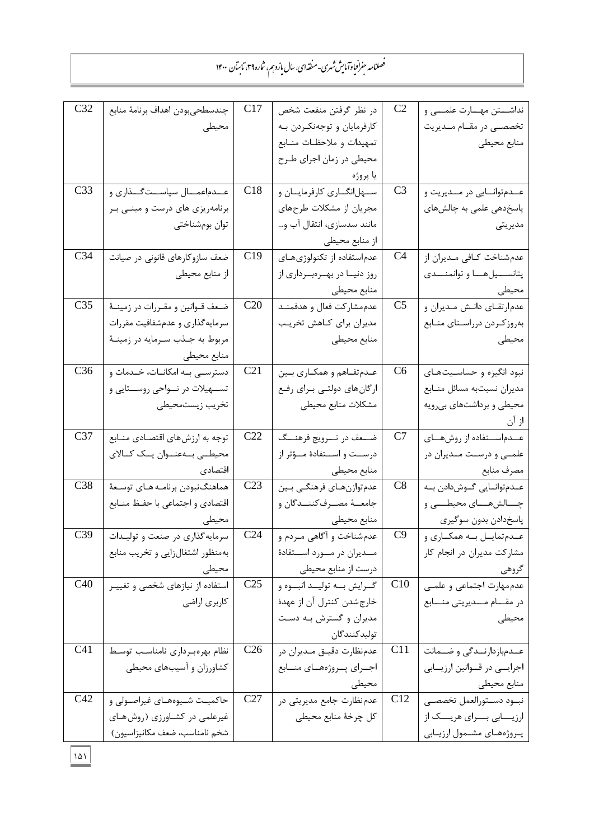### .<br>صلنامه حغرافیاوآمایش شهری-مفقهای، سال مازدجم، شاره ۳۹، باسان ۱۴۰۰ ه

| C32             | چندسطحي بودن اهداف برنامهٔ منابع   | C17             | در نظر گرفتن منفعت شخص          | C <sub>2</sub> | نداشـــتن مهـــارت علمـــى و   |
|-----------------|------------------------------------|-----------------|---------------------------------|----------------|--------------------------------|
|                 | محيطى                              |                 | كارفرمايان و توجهنكردن بـه      |                | تخصصــی در مقــام مــدیریت     |
|                 |                                    |                 | تمهيدات و ملاحظـات منـابع       |                | منابع محيطي                    |
|                 |                                    |                 | محیطی در زمان اجرای طـرح        |                |                                |
|                 |                                    |                 | يا پروژه                        |                |                                |
| C <sub>33</sub> | عــدماعمــال سياســتگــذاري و      | C18             | ســهلانگــاري كارفرمايــان و    | C <sub>3</sub> | عــدم توانـــايي در مــديريت و |
|                 | برنامهریزی های درست و مبنـی بـر    |                 | مجریان از مشکلات طرحهای         |                | پاسخدهی علمی به چالشهای        |
|                 | توان بومشناختي                     |                 | مانند سدسازی، انتقال آب و…      |                | مديريتي                        |
|                 |                                    |                 | از منابع محیطی                  |                |                                |
| C <sub>34</sub> | ضعف سازوکارهای قانونی در صیانت     | C19             | عدم ستفاده از تکنولوژیهـای      | C <sub>4</sub> | عدمشناخت كـافي مـديران از      |
|                 | از منابع محيطى                     |                 | روز دنیــا در بهــرهبــرداری از |                | پتانســـيلهـــا و توانمنـــدى  |
|                 |                                    |                 | منابع محيطي                     |                | محیطی                          |
| C <sub>35</sub> | ضعف قـوانين و مقـررات در زمينــهٔ  | C20             | عدم مشاركت فعال و هدفمنـد       | C <sub>5</sub> | عدمارتقـاي دانـش مـديران و     |
|                 | سرمایهگذاری و عدمشفافیت مقررات     |                 | مدیران برای کـاهش تخریـب        |                | بهروزكردن درراستاي منـابع      |
|                 | مربوط به جـذب سـرمايه در زمينــهٔ  |                 | منابع محيطي                     |                | محيطى                          |
|                 | منابع محيطي                        |                 |                                 |                |                                |
| C <sub>36</sub> | دسترســی بــه امکانــات، خــدمات و | C <sub>21</sub> | عـدمتفـاهم و همكـاري بـين       | C6             | نبود انگیزه و حساسیتهای        |
|                 | تســهیلات در نــواحی روســتایی و   |                 | ارگانهای دولتـی بـرای رفـع      |                | مديران نسبتبه مسائل منـابع     |
|                 | تخريب زيستمحيطي                    |                 | مشكلات منابع محيطي              |                | محیطی و برداشتهای بیرویه       |
|                 |                                    |                 |                                 |                | از آن                          |
| C <sub>37</sub> | توجه به ارزش های اقتصـادی منــابع  | C <sub>22</sub> | ضــعف در تـــرويج فرهنـــگ      | C7             | عــدماســتفاده از روشهــاي     |
|                 | محیطــی بــهعنــوان یــک کــالای   |                 | درســت و اســتفادهٔ مــؤثر از   |                | علمــی و درســت مــدیران در    |
|                 | اقتصادى                            |                 | منابع محيطي                     |                | مصرف منابع                     |
| C <sub>38</sub> | هماهنگنبودن برنامههای توسعهٔ       | C <sub>23</sub> | عدمتوازنهـاي فرهنگـي بـين       | C8             | عـدمتوانــايي گــوشدادن بــه   |
|                 | اقتصادي و اجتماعي با حفـظ منـابع   |                 | جامعــهٔ مصــرف کننــدگان و     |                | چـــالشھـــاي محيطـــي و       |
|                 | محيطى                              |                 | منابع محيطي                     |                | پاسخدادن بدون سوگيري           |
| C <sub>39</sub> | سرمایه گذاری در صنعت و تولیـدات    | C <sub>24</sub> | عدمشناخت و أگاهي مـردم و        | C9             | عـدمتمايــل بــه همكــاري و    |
|                 | بهمنظور اشتغال زايى وتخريب منابع   |                 | مــدیران در مــورد اســتفادهٔ   |                | مشارکت مدیران در انجام کار     |
|                 | محيطى                              |                 | درست از منابع محيطى             |                | گروهی                          |
| C40             | استفاده از نیازهای شخصی و تغییر    | C <sub>25</sub> | گـرايش بــه توليــد انبــوه و   | C10            | عدم مهارت اجتماعی و علمـی      |
|                 | كاربري اراضى                       |                 | خارج شدن كنترل آن از عهدهٔ      |                | در مقسام مسدیریتی منسابع       |
|                 |                                    |                 | مدیران و گسترش به دست           |                | محيطى                          |
|                 |                                    |                 | توليدكنندگان                    |                |                                |
| C <sub>41</sub> | نظام بهرهبردارى نامناسب توسط       | C <sub>26</sub> | عدم نظارت دقیــق مــدیران در    | C11            | عـدمبازدارنـدگی و ضـمانت       |
|                 | کشاورزان و آسیبهای محیطی           |                 | اجــراي پــروژههــاي منـــابع   |                | اجرایسی در قسوانین ارزیسابی    |
|                 |                                    |                 | محيطى                           |                | منابع محيطي                    |
| C42             | حاکمیـت شـیوههـای غیراصـولی و      | C27             | عدم نظارت جامع مدیریتی در       | C12            | نبىود دسىتورالعمل تخصصى        |
|                 | غیرعلمی در کشاورزی (روشهای         |                 | كل چرخهٔ منابع محيطى            |                | ارزیسابی بسرای هریسک از        |
|                 | شخم نامناسب، ضعف مكانيزاسيون)      |                 |                                 |                | پروژههـای مشـمول ارزيـابي      |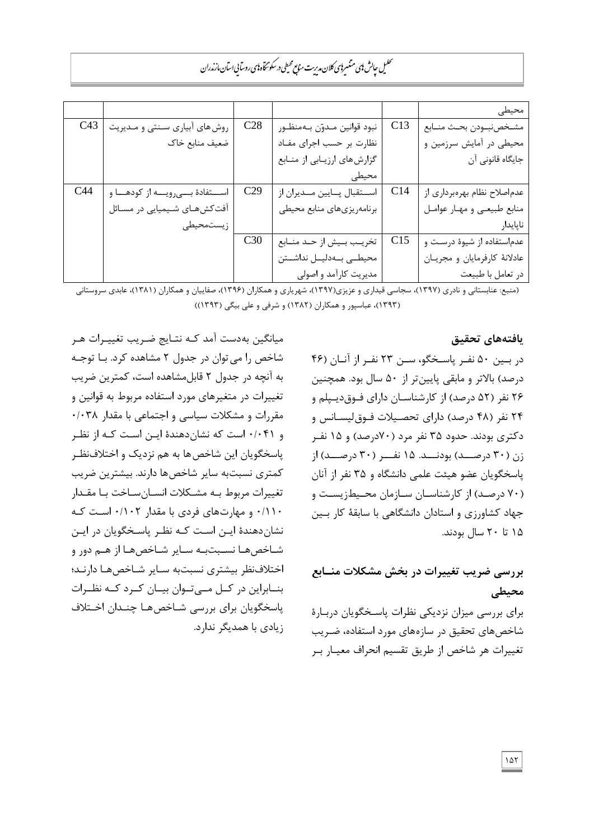|                 |                                        |                 |                              |                 | محيطى                         |
|-----------------|----------------------------------------|-----------------|------------------------------|-----------------|-------------------------------|
| C <sub>43</sub> | روش های آبیاری سـنتی و مـدیریت         | C28             | نبود قوانين مـدوّن بـهمنظـور | C13             | مشخصنبودن بحث منابع           |
|                 | ضعيف منابع خاك                         |                 | نظارت بر حسب اجرای مفـاد     |                 | محیطی در آمایش سرزمین و       |
|                 |                                        |                 | گزارش های ارزیابی از منـابع  |                 | جايگاه قانوني آن              |
|                 |                                        |                 | محيطى                        |                 |                               |
| C44             | اســـتفادهٔ بـــیرویـــه از کودهـــا و | C <sub>29</sub> | استقبال پايين مهديران از     | C <sub>14</sub> | عدماصلاح نظام بهرهبرداري از   |
|                 | آفت کشهای شیمیایی در مسائل             |                 | برنامەريزىھاي منابع محيطى    |                 | منابع طبیعی و مهـار عوامـل    |
|                 | زيستمحيطى                              |                 |                              |                 | ناپايدار                      |
|                 |                                        | C <sub>30</sub> | تخريب بيش از حـد منـابع      | C15             | عدم ستفاده از شیوهٔ درست و    |
|                 |                                        |                 | محيطـى بــهدليــل نداشــتن   |                 | عادلانهٔ کارفرمایان و مجریـان |
|                 |                                        |                 | مدیریت کارآمد و اصولی        |                 | در تعامل با طبیعت             |

(منبع: عنابستانی و نادری (١٣٩٧)، سجاسی قیداری و عزیزی(١٣٩٧)، شهریاری و همکاران (١٣٩۶)، صفاییان و همکاران (١٣٨١)، عابدی سروستانی (١٣٩٣)، عباسپور و همكاران (١٣٨٢) و شرفي و علي بيگي (١٣٩٣))

## **یافتههاک تحقی**

در بسین ۵۰ نفس پاستخگو، سسن ۲۳ نفس از آنسان (۴۶ درصد) بالاتر و مابقی پایین تر از ۵۰ سال بود. همچنین ۲۶ نفر (۵۲ درصد) از کارشناسـان دارای فـوق،دیـیلم و ٢۴ نفر (۴۸ درصد) دارای تحصیلات فـوقالیسـانس و دکتری بودند. حدود ۳۵ نفر مرد (۷۰درصد) و ۱۵ نفـر زن (۳۰ درصــد) بودنــد. ۱۵ نفــر (۳۰ درصــد) از پاسخگویان عضو هیئت علمی دانشگاه و ۳۵ نفر از آنان (٧٠ درصد) از كارشناسـان سـازمان محـيطزيسـت و جهاد کشاورزی و استادان دانشگاهی با سابقهٔ کار بـین ۱۵ تا ۲۰ سال بودند.

# **بررسی ضریب تغییرات در بخش مشکلات منسابع محیطی**

برای بررسی میزان نزدیکی نظرات پاسخگویان دربارهٔ شاخصهای تحقیق در سازههای مورد استفاده، ضـریب تغييرات هر شاخص از طريق تقسيم انحراف معيـار بـر

میانگین بهدست آمد کـه نتـایج ضـریب تغییـرات هـر شاخص را می توان در جدول ۲ مشاهده کرد. بـا توجـه به آنچه در جدول ۲ قابلِ مشاهده است، کمترین ضریب تغییرات در متغیرهای مورد استفاده مربوط به قوانین و مقررات و مشكلات سياسي و اجتماعي با مقدار ۰/۰۳۸ و ۰/۰۴۱ است که نشان دهندهٔ ایـن اسـت کـه از نظـر پاسخگویان این شاخصها به هم نزدیک و اختلافِنظـر كمترى نسبتبه ساير شاخصها دارند. بيشترين ضريب تغييرات مربوط بـه مشـكلات انسـانسـاخت بـا مقـدار ۰/۱۱۰ و مهارتهای فردی با مقدار ۰/۱۰۲ است که نشانِ دهندهٔ ایـن اسـت کـه نظـر پاسـخگویان در ایـن شـاخصهـا نسـبتبـه سـاير شـاخصهـا از هـم دور و اختلاف نظر بيشترى نسبتبه سـاير شـاخصهـا دارنـد؛ بنــابراین در کــل مــیتــوان بیــان کــرد کــه نظــرات پاسخگویان برای بررسی شـاخصهـا چنـدان اخـتلاف زيادي با همديگر ندارد.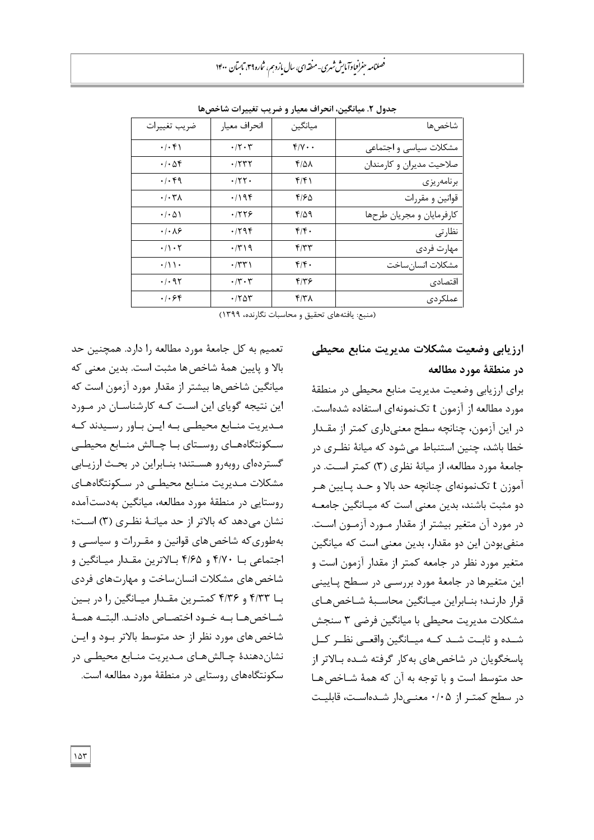### .<br>صلنامه حغرافیاوآمایش شهری-مفقهای، سال مازدجم، شاره ۳۹، باسان ۱۴۰۰ ه

| ضريب تغييرات                        | انحراف معيار                                | ميانگين                | شاخصها                    |
|-------------------------------------|---------------------------------------------|------------------------|---------------------------|
| $\cdot/\cdot$ ۴۱                    | $\cdot/\tau\cdot\tau$                       | $f/\gamma \cdot \cdot$ | مشكلات سياسى و اجتماعى    |
| $\cdot/\cdot \Delta f$              | $\cdot$ $/$ ٢٣٢                             | ۴/۵۸                   | صلاحيت مديران و كارمندان  |
| $\cdot/\cdot$ ۴۹                    | $\cdot$ /۲۲.                                | ۴۱۴۱                   | برنامەريزى                |
| $\cdot/\cdot \tau$                  | .799                                        | ۴۱۶۵                   | قوانين و مقررات           |
| $\cdot$ / $\cdot$ $\wedge$ $\wedge$ | ۰/۲۲۶                                       | ۴۱۵۹                   | كارفرمايان و مجريان طرحها |
| $\cdot/\cdot \wedge \epsilon$       | .798                                        | f/f.                   | نظارتى                    |
| $\cdot/\rangle \cdot 7$             | $\cdot$ /۳۱۹                                | ۴/۳۳                   | مهارت فردى                |
| $\cdot/\wedge\wedge\cdot$           | $\cdot$ /۳۳)                                | f/f.                   | مشكلات انسان ساخت         |
| $\cdot$ / $\cdot$ 95                | $\cdot$ / $\mathbf{r}$ $\cdot$ $\mathbf{r}$ | ۴۱۳۶                   | اقتصادى                   |
| $.  .$ ۶۴                           | $\cdot$ /۲۵۳                                | ۴۱۳۸                   | عملكردى                   |

جدول ٢. میانگین، انحراف معیار و ضریب تغییرات شاخصها

.<br>د. بافتههای تحقیق و محاسبات نگارنده، ۱۳۹۹)

# ارزیابی وضعیت مشکلات مدیریت منابع محیطی **در منطقهٔ مورد مطالعه**

برای ارزیابی وضعیت مدیریت منابع محیطی در منطقهٔ مورد مطالعه از آزمون t تکنمونهای استفاده شدهاست. در این آزمون، چنانچه سطح معنیداری کمتر از مقـدار خطا باشد، چنین استنباط می شود که میانهٔ نظـری در جامعهٔ مورد مطالعه، از میانهٔ نظری (۳) کمتر است. در آموزن t تکنمونهای چنانچه حد بالا و حـد پـايين هـر دو مثبت باشند، بدین معنی است که میـانگین جامعـه در مورد آن متغیر بیشتر از مقدار مـورد آزمـون اسـت. منفی بودن این دو مقدار، بدین معنی است که میانگین متغیر مورد نظر در جامعه کمتر از مقدار آزمون است و این متغیرها در جامعهٔ مورد بررسـی در سـطح پـایینی قرار دارنـد؛ بنـابراین میـانگین محاسـبهٔ شـاخص هـای مشكلات مديريت محيطي با ميانگين فرضي ٣ سنجش شـده و ثابـت شـد كـه ميــانگين واقعــي نظــر كــل پاسخگویان در شاخص های به کار گرفته شـده بـالاتر از حد متوسط است و با توجه به آن که همهٔ شـاخصهـا در سطح كمتر از ۰/۰۵ معنے دار شدهاست، قابلیت

تعميم به كل جامعهٔ مورد مطالعه را دارد. همچنين حد بالا و پایین همهٔ شاخص ها مثبت است. بدین معنی که میانگین شاخصها بیشتر از مقدار مورد آزمون است که این نتیجه گویای این است که کارشناسان در مورد مـدیریت منـابع محیطـی بـه ایـن بـاور رسـیدند کـه سـكونتگاههـاي روسـتاي بـا چـالش منـابع محيطـي گستردهای روبهرو هستند؛ بنـابراین در بحـث ارزیـابی مشکلات مـدیریت منـابع محیطـی در سـکونتگاههـای روستایی در منطقهٔ مورد مطالعه، میانگین بهدستآمده نشان میدهد که بالاتر از حد میانـهٔ نظـری (٣) اسـت؛ بهطوری که شاخص های قوانین و مقـررات و سیاسـی و اجتماعی با ۴/۷۰ و ۴/۶۵ بالاترین مقدار میانگین و شاخص های مشکلات انسانساخت و مهارتهای فردی بتا ۴/۳۳ و ۴/۳۶ كمتوين مقدار ميانگين را در بين شــاخصهــا بــه خــود اختصــاص دادنــد. البتــه همــهٔ شاخص های مورد نظر از حد متوسط بالاتر بــود و ايــن نشانِدهندهٔ چـالشهـای مـدیریت منـابع محیطـی در سکونتگاههای روستایی در منطقهٔ مورد مطالعه است.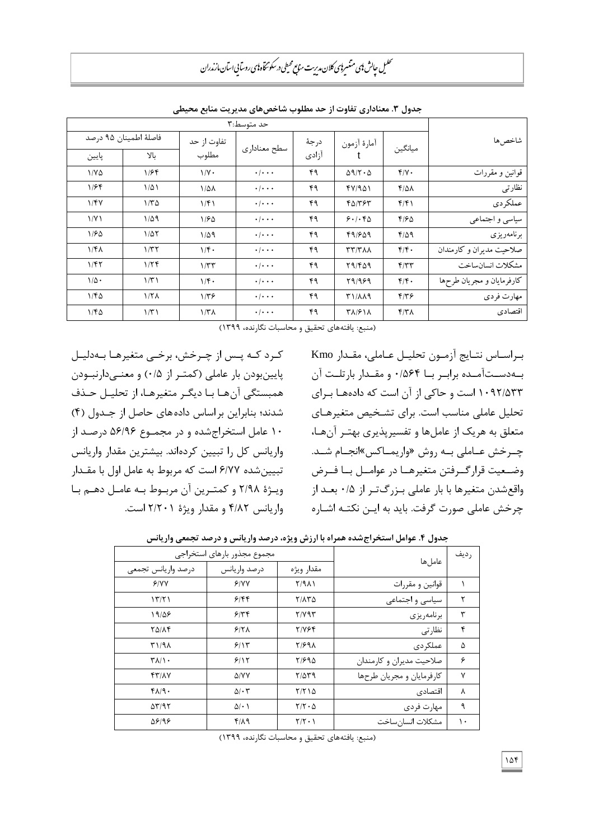| حد متوسط:۳            |                   |                           |              |                                   |                   |                           |  |
|-----------------------|-------------------|---------------------------|--------------|-----------------------------------|-------------------|---------------------------|--|
| فاصلة اطمينان ٩۵ درصد |                   |                           | درجهٔ        |                                   |                   | شاخص ها                   |  |
| بالا                  | مطلوب             |                           | ازادى        |                                   |                   |                           |  |
| ۱۱۶۴                  | $1/Y$ .           | $\cdot$ / $\cdot$ $\cdot$ | ۴۹           | $\Delta$ 9/٢٠ $\Delta$            | $f/\gamma$ .      | قوانین و مقررات           |  |
| ۱۵۱                   | $1/\Delta\lambda$ | $\cdot$ / $\cdot$ $\cdot$ | ۴۹           | fY/901                            | $f/\Delta\lambda$ | نظارتى                    |  |
| $1/\tau \Delta$       | ۱/۴۱              | $\cdot$ / $\cdot$ $\cdot$ | ۴۹           | 40/374                            | f/f)              | عملكردي                   |  |
| ۱٬۵۹                  | ۱۱۶۵              | $\cdot$ / $\cdot$ $\cdot$ | ۴۹           | 5.1.80                            | F/60              | سیاسی و اجتماعی           |  |
| ۱/۵۲                  | $1/\Delta$ 9      | $\cdot$ / $\cdot$ $\cdot$ | ۴۹           | 49/609                            | 4109              | برنامەرىزى                |  |
| 1/TT                  | $1/f$ .           | $\cdot$ / $\cdot$ $\cdot$ | ۴۹           | $\mathbf{r}\mathbf{r}/\mathbf{r}$ | f/f.              | صلاحیت مدیران و کارمندان  |  |
| 1/7f                  | 1/TT              | $\cdot$ / $\cdot$ $\cdot$ | ۴۹           | 19/409                            | F/TT              | مشكلات انسانساخت          |  |
| 1/T1                  | 1/f.              | $\cdot$ / $\cdot$ $\cdot$ | ۴۹           | ۲۹/۹۶۹                            | f/f.              | كارفرمايان و مجريان طرحها |  |
| $1/7\lambda$          | $1/\tau$ ۶        | $\cdot$ / $\cdot$ $\cdot$ | ۴۹           | <b>٣١/٨٨٩</b>                     | ۴۱۳۶              | مهارت فردي                |  |
| 1/T1                  | 1/T <sub>1</sub>  | $\cdot$ / $\cdot$ $\cdot$ | ۴۹           | <b>٣٨/۶١٨</b>                     | $f/T\Lambda$      | اقتصادى                   |  |
|                       |                   | تفاوت از حد               | سطح معناداري |                                   | أمارة أزمون       | ميانگين                   |  |

جدول ٣. معناداری تفاوت از حد مطلوب شاخصهای مدیریت منابع محیطی

(منبع: يافتههاى تحقيق و محاسبات نگارنده، ١٣٩٩)

کرد کـه پـس از چـرخش، برخـی متغیرهـا بـهدلیـل پایینبودن بار عاملی (کمتر از ۰/۵) و معنـیدارنبـودن همبستگي آن هـا بـا ديگـر متغيرهـا، از تحليـل حـذف شدند؛ بنابراین بر اساس دادههای حاصل از جـدول (۴) ١٠ عامل استخراج شده و در مجمـوع ٥۶/٩۶ درصـد از واریانس کل را تبیین کردهاند. بیشترین مقدار واریانس تبیینشده ۶/۷۷ است که مربوط به عامل اول با مقـدار وية ٢/٩٨ و كمترين آن مربوط به عامل دهم با واريانس ۴/۸۲ و مقدار ويژهٔ ۲/۲۰۱ است.

براساس نتـايج آزمـون تحليـل عـاملي، مقـدار Kmo بتهدستآمده برابر با ۰/۵۶۴ و مقدار بارتلت آن ۱۰۹۲/۵۳۳ است و حاکی از آن است که دادههـا بـرای تحلیل عاملی مناسب است. برای تشخیص متغیرهـای متعلق به هریک از عاملها و تفسیریذیری بهتـر آنهـا، چـرخش عــاملي بــه روش «واريمــاكس»انجــام شــد. وضعيت قرار كـرفتن متغيرهـا در عوامـل بـا فـرض واقعشدن متغيرها با بار عاملي بـزرگتر از ۰/۵ بعـد از چرخش عاملی صورت گرفت. باید به ایـن نکتـه اشـاره

| ر دیف | عامل ها                   | مجموع مجذور بارهاى استخراجى |                      |                      |  |  |  |
|-------|---------------------------|-----------------------------|----------------------|----------------------|--|--|--|
|       |                           | مقدار ويژه                  | درصد واريانس         | درصد واريانس تجمعي   |  |  |  |
|       | قوانین و مقررات           | Y/9                         | 9/1                  | Y/YY                 |  |  |  |
| ٢     | سیاسی و اجتماعی           | ۲/۸۳۵                       | 9188                 | 17/71                |  |  |  |
| ٣     | برنامه, یز ی              | $Y/Y$ ۹۳                    | 555                  | ۱۹/۵۶                |  |  |  |
| ۴     | نظارتى                    | <u>۲/۷۶۴</u>                | $517\lambda$         | <b>TAILF</b>         |  |  |  |
| ۵     | عملكردى                   | Y/99A                       | 5/15                 | T1/9A                |  |  |  |
| ۶     | صلاحیت مدیران و کارمندان  | 7/895                       | 9/15                 | $T\Lambda/\Lambda$ . |  |  |  |
| ٧     | كارفرمايان و مجريان طرحها | ۳/۵۳۹                       | A/VV                 | <b>۴۳/۸۷</b>         |  |  |  |
| Λ     | اقتصادى                   | $Y/Y$ $\Delta$              | $\Delta/\cdot 7$     | $f\Lambda$ /9.       |  |  |  |
| ٩     | مهارت فردی                | $Y/Y \cdot \Delta$          | $\Delta$ / $\cdot$ ) | $\Delta \Upsilon/95$ |  |  |  |
| ١.    | مشكلات انسان ساخت         | $Y/Y \cdot Y$               | $f/\lambda$ 9        | 98198                |  |  |  |

جدول ۴. عوامل استخراج شده همراه با ارزش ویژه، درصد واریانس و درصد تجمعی واریانس

<sup>(</sup>منبع: يافتههاى تحقيق و محاسبات نگارنده، ١٣٩٩)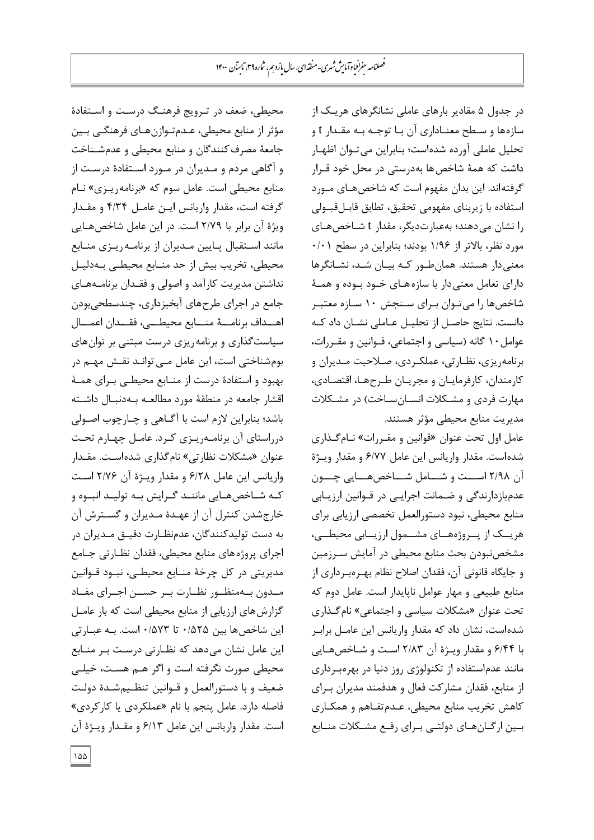محیطی، ضعف در تـرویج فرهنـگ درسـت و اسـتفادهٔ مؤثر از منابع محیطی، عـدمتـوازنِهـای فرهنگــی بــین جامعهٔ مصرف کنندگان و منابع محیطی و عدمشـناخت و آگاهی مردم و مـدیران در مـورد اسـتفادهٔ درسـت از منابع محیطی است. عامل سوم که «برنامهریـزی» نـام گرفته است، مقدار واریانس ایـن عامـل ۴/۳۴ و مقـدار ويژهٔ آن برابر با ٢/٧٩ است. در اين عامل شاخصهـايي مانند استقبال پایین مـدیران از برنامـه ریـزی منـابع محيطي، تخريب بيش از حد منـابع محيطـي بـهدليـل نداشتن مدیریت کارآمد و اصولی و فقـدان برنامـههـای جامع در اجرای طرحهای آبخیزداری، چندسطحیبودن اهــداف برنامــــهٔ منــــابع محيطـــى، فقـــدان اعمـــال سیاست گذاری و برنامه ریزی درست مبتنی بر توانهای بومشناختی است، این عامل مـی توانـد نقـش مهـم در بهبود و استفادهٔ درست از منـابع محیطـی بـرای همـهٔ اقشار جامعه در منطقهٔ مورد مطالعـه بـهدنبـال داشـته باشد؛ بنابراین لازم است با آگـاهی و چـارچوب اصـولی درراستای آن برنامهریـزی کـرد. عامـل چهـارم تحت عنوان «مشكلات نظارتي» نام گذاري شدهاست. مقـدار واريانس اين عامل ۶/۲۸ و مقدار ويـژهٔ آن ۲/۷۶ است کـه شـاخصهـايي ماننـد گـرايش بـه توليـد انبـوه و خارجشدن کنترل آن از عهـدهٔ مـديران و گسـترش آن به دست توليدكنندگان، عدمنظـارت دقيـق مـديران در اجرای پروژههای منابع محیطی، فقدان نظـارتی جـامع مدیریتی در کل چرخهٔ منـابع محیطـی، نبــود قــوانین مـدون بـهمنظـور نظـارت بـر حسـن اجـراى مفـاد گزارش های ارزیابی از منابع محیطی است که بار عامـل این شاخص ها بین ۱۵۲۵ تا ۱٬۵۷۳ است. بـه عبـارتی این عامل نشان می دهد که نظـارتی درسـت بـر منـابع محیطی صورت نگرفته است و اگر هـم هسـت، خیلـی ضعيف و با دستورالعمل و قـوانين تنظـيمشـدهٔ دولـت فاصله دارد. عامل ينجم با نام «عملكردي يا كاركردي» است. مقدار واريانس اين عامل ۶/۱۳ و مقـدار ويـژهٔ آن

در جدول ۵ مقادیر بارهای عاملی نشانگرهای هریک از سازهها و سـطح معنــاداري آن بــا توجــه بــه مقــدار t و تحليل عاملي آورده شدهاست؛ بنابراين مي تـوان اظهـار داشت که همهٔ شاخصها بهدرستی در محل خود قــرار گرفته اند. این بدان مفهوم است که شاخصهای مـورد استفاده با زيربناي مفهومي تحقيق، تطابق قابـلقبـولي را نشان میدهند؛ بهعبارتدیگر، مقدار t شـاخصهـای مورد نظر، بالاتر از ١/٩۶ بودند؛ بنابراین در سطح ٠/٠١ معنی دار هستند. همان طور که بیـان شـد، نشـانگرها دارای تعامل معنیدار با سازههای خود بوده و همـهٔ شاخصها را میتوان برای سنجش ١٠ سـازه معتبـر دانست. نتايج حاصـل از تحليـل عـاملي نشـان داد كـه عوامل ١٠ گانه (سياسي و اجتماعي، قـوانين و مقـررات، برنامهریزی، نظـارتی، عملکـردی، صـلاحیت مـدیران و كارمندان، كارفرمايـان و مجريـان طـرحهـا، اقتصـادي، مهارت فردی و مشـكلات انســانِســاخت) در مشـكلات مدیریت منابع محیطی مؤثر هستند.

عامل اول تحت عنوان «قوانين و مقـررات» نـام *گـ*ذاري شده است. مقدار واريانس اين عامل ۶/۷۷ و مقدار ويـژهٔ آن ٢/٩٨ اســت و شــامل شــاخصهــايي چــون عدمبازدارندگی و ضمانت اجرایی در قـوانین ارزیـابی منابع محيطي، نبود دستورالعمل تخصصي ارزيابي براي هريــك از پــروژههــاي مشــمول ارزيــابي محيطــي، مشخصنبودن بحث منابع محيطي در آمايش سـرزمين و جايگاه قانوني آن، فقدان اصلاح نظام بهـرەبـرداري از منابع طبیعی و مهار عوامل ناپایدار است. عامل دوم که تحت عنوان «مشكلات سياسي و اجتماعي» نام *گ*ـذاري شدهاست، نشان داد که مقدار واریانس این عامـل برابـر با ۶/۴۴ و مقدار ويـژهٔ آن ۲/۸۳ اسـت و شـاخصهـايي مانند عدماستفاده از تكنولوژي روز دنيا در بهرهبرداري از منابع، فقدان مشاركت فعال و هدفمند مديران بـراي كاهش تخريب منابع محيطى، عـدم تفـاهم و همكـارى بِّين ارگــانهـاي دولتــي بـراي رفـع مشــكلات منــابع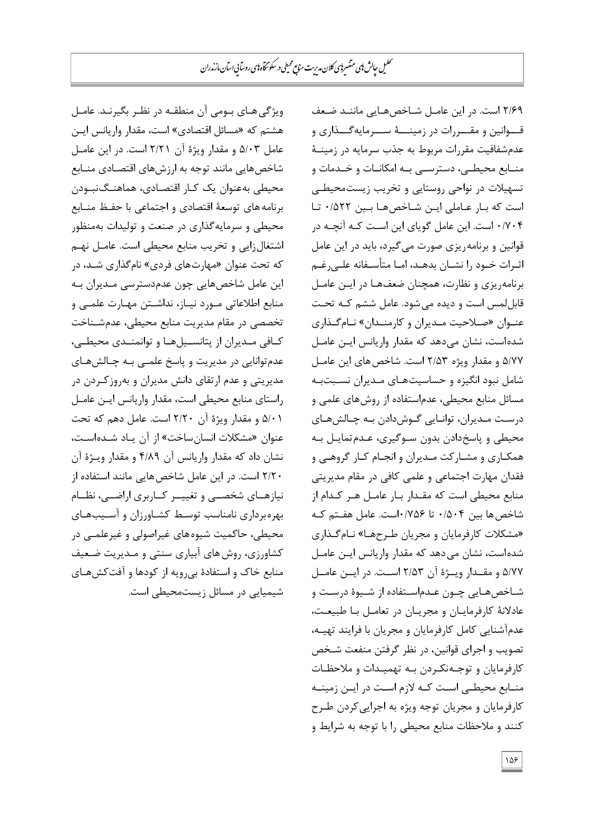ویژگی هـای بـومی آن منطقـه در نظـر بگیرنـد. عامـل هشتم که «مسائل اقتصادی» است، مقدار واریانس ایـن عامل ٥/٠٣ و مقدار ويژهٔ آن ٢/٢١ است. در اين عامـل شاخصهایی مانند توجه به ارزشهای اقتصـادی منــابع محیطی به عنوان یک کـار اقتصـادی، هماهنـگiنبـودن برنامه های توسعهٔ اقتصادی و اجتماعی با حفـظ منــابع محیطی و سرمایه گذاری در صنعت و تولیدات بهمنظور اشتغال زايي و تخريب منابع محيطي است. عامـل نهـم که تحت عنوان «مهارتهای فردی» نامگذاری شـد، در این عامل شاخصهایی چون عدمدسترسی مـدیران بـه منابع اطلاعاتی مـورد نیـاز، نداشـتن مهـارت علمـی و تخصصی در مقام مدیریت منابع محیطی، عدمشـناخت كافي مـديران از پتانسـيلهـا و توانمنـدي محيطـي، عدم توانایی در مدیریت و پاسخ علمـی بـه چـالشهـای مدیریتی و عدم ارتقای دانش مدیران و بهروزکـردن در راستای منابع محیطی است، مقدار واریانس ایـن عامـل ۵/۰۱ و مقدار ویژهٔ آن ۲/۲۰ است. عامل دهم که تحت عنوان «مشكلات انسانِساخت» از آن يـاد شـده|سـت، نشان داد که مقدار واریانس آن ۴/۸۹ و مقدار ویـژهٔ آن ٢/٢٠ است. در اين عامل شاخص هايي مانند استفاده از نیازهـای شخصــی و تغییــر کــاربری اراضــی، نظــام بهرهبرداري نامناسب توسط كشاورزان و آسيبهاي محیطی، حاکمیت شیوههای غیراصولی و غیرعلمـی در كشاورزي، روش هاي آبياري سنتي و مـديريت ضـعيف منابع خاک و استفادهٔ بی رویه از کودها و آفتکشهای شیمیایی در مسائل زیستمحیطی است.

٢/۶٩ است. در این عامـل شـاخصهـایی ماننـد ضـعف قــوانين و مقــررات در زمينـــهٔ ســرمايهگـــذارى و عدم شفافیت مقررات مربوط به جذب سرمایه در زمینـهٔ منـابع محيطـى، دسترسـى بـه امكانـات و خــدمات و تسهیلات در نواحی روستایی و تخریب زیستمحیطے است كه بار عاملي اين شاخصها بين ٠/٥٢٢ تا ۰/۷۰۴ است. این عامل گویای این اسـت کـه آنچـه در قوانین و برنامه ریزی صورت می گیرد، باید در این عامل اثـرات خـود را نشـان بدهـد، امـا متأسـفانه علــى غـم برنامهریزی و نظارت، همچنان ضعفها در ایـن عامـل قابلِلمس است و ديده مي شود. عامل ششم كـه تحـت عنـوان «صـلاحيت مـديران و كارمنـدان» نـام *گـ*ذاري شدهاست، نشان میدهد که مقدار واریانس ایـن عامـل ٥/٧٧ و مقدار ويژه ٢/۵٣ است. شاخص هاي اين عامـل شامل نبود انگیزه و حساسیتهـای مـدیران نسـبتبـه مسائل منابع محیطی، عدماستفاده از روشهای علمی و درست مدیران، توانایی گوشدادن به چالشهای محیطی و پاسخدادن بدون سـوگیری، عـدم تمایـل بـه همکـاری و مشـارکت مـدیران و انجـام کـار گروهـی و فقدان مهارت اجتماعي و علمي كافي در مقام مديريتي منابع محیطی است که مقدار بار عامل هـر کـدام از شاخص ها بين ٠/۵٠۴ تا ٠/٧۵۶است. عامل هفـتم كـه «مشکلات کارفرمایان و مجریان طـرحهـا» نـام *گـ*ذاری شده است، نشان می دهد که مقدار واریانس ایـن عامـل ٥/٧٧ و مقــدار ويــژهٔ آن ٢/۵٣ اســت. در ايــن عامــل شـاخصهـايي چـون عـدماسـتفاده از شـيوهٔ درسـت و عادلانهٔ کارفرمایـان و مجریـان در تعامـل بـا طبیعـت، عدم آشنایی کامل کارفرمایان و مجریان با فرایند تهیـه، تصویب و اجرای قوانین، در نظر گرفتن منفعت شـخص کارفرمایان و توجـهنکـردن بـه تهمیـدات و ملاحظـات منـابع محيطـى اسـت كـه لازم اسـت در ايـن زمينـه کارفرمایان و مجریان توجه ویژه به اجرایی کردن طـرح کنند و ملاحظات منابع محيطي را با توجه به شرايط و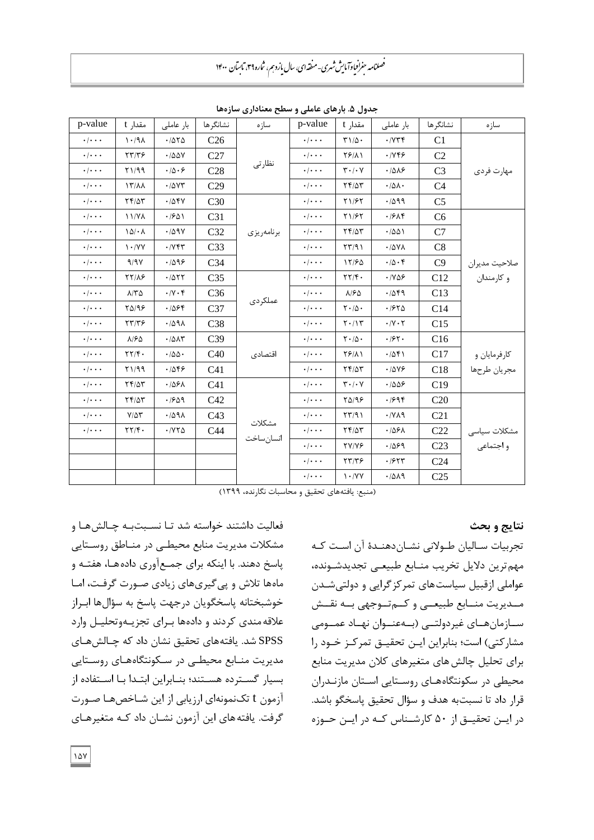### .<br>صلنامه حغرافیاوآمایش شهری-مفقهای، سال مازدجم، شاره ۳۹، باسان ۱۴۰۰ ه

| p-value                        | مقدا <sub>د</sub> t                | بار عاملی                     | نشانگرها        | سازه                 | p-value                   | مقدا <sub>د</sub> t                            | بار عاملی                   | نشانگرها        | ساز ہ         |
|--------------------------------|------------------------------------|-------------------------------|-----------------|----------------------|---------------------------|------------------------------------------------|-----------------------------|-----------------|---------------|
| $\cdot$ / $\cdot$ $\cdot$      | $\lambda$ $\theta$                 | .7070                         | C <sub>26</sub> |                      | $\cdot$ / $\cdot$ $\cdot$ | $T1/\Delta$ .                                  | $\cdot$ / $\gamma$ $\gamma$ | C <sub>1</sub>  |               |
| $\cdot$ / $\cdot$ $\cdot$      | $\tau\tau/\tau$ ۶                  | .700V                         | C27             |                      | $\cdot$ / $\cdot$ $\cdot$ | <b>TS/11</b>                                   | .1199                       | C <sub>2</sub>  |               |
| $\cdot$ / $\cdot$ $\cdot$      | Y1/99                              | $\cdot$ /0 $\cdot$ $\circ$    | C <sub>28</sub> | نظارتي               | $\cdot$ / $\cdot$ $\cdot$ | $\mathbf{r} \cdot \mathbf{r} \cdot \mathbf{v}$ | .7019                       | C <sub>3</sub>  | مهارت فردى    |
| $\cdot$ / $\cdot$ $\cdot$      | $\lambda$                          | .70Y                          | C29             |                      | $\cdot$ / $\cdot$ $\cdot$ | $Yf/\Delta Y$                                  | $\cdot$ / $\Delta\Lambda$ . | C <sub>4</sub>  |               |
| $\cdot \mid \cdot \cdot \cdot$ | $Yf/\Delta Y$                      | .705V                         | C30             |                      | $\cdot$ / $\cdot$ $\cdot$ | Y1/FY                                          | .7099                       | C <sub>5</sub>  |               |
| $\cdot$ / $\cdot$ $\cdot$      | 11/Y                               | $\cdot$ /۶۵۱                  | C <sub>31</sub> |                      | $\cdot$ / $\cdot$ $\cdot$ | <b>T1/۶۲</b>                                   | .7914                       | C <sub>6</sub>  |               |
| $\cdot$ / $\cdot$ $\cdot$      | $\lambda \Delta / \cdot \Lambda$   | .709V                         | C32             | برنامەريزى           | $\cdot$ / $\cdot$ $\cdot$ | $Yf/\Delta Y$                                  | .7001                       | C7              |               |
| $\cdot$ / $\cdot$ $\cdot$      | $\mathcal{N} \cdot \mathcal{N}$    | $\cdot$ / $\gamma$ $\uparrow$ | C <sub>33</sub> |                      | $\cdot$ / $\cdot$ $\cdot$ | $\Upsilon \Upsilon / 9$                        | .784A                       | C8              |               |
| $\cdot$ / $\cdot$ $\cdot$      | 9/9V                               | .7099                         | C <sub>34</sub> |                      | $\cdot$ / $\cdot$ $\cdot$ | 17/50                                          | $\cdot/\Delta \cdot f$      | C9              | صلاحيت مديران |
| $\cdot$ / $\cdot$ $\cdot$      | $\frac{8}{11}$                     | .7057                         | C <sub>35</sub> |                      | $\cdot$ / $\cdot$ $\cdot$ | $\Upsilon\Upsilon/\Upsilon$ .                  | $\cdot$ / $\vee$ $\circ$    | C12             | و كارمندان    |
| $\cdot$ / $\cdot$ $\cdot$      | $\lambda/\tau\Delta$               | $\cdot$ / $\vee$ . $\uparrow$ | C36             |                      | $\cdot/\cdot\cdot\cdot$   | $\lambda$ /۶۵                                  | .7049                       | C13             |               |
| $\cdot \mid \cdot \cdot \cdot$ | 50/98                              | .7888                         | C <sub>37</sub> | عملكردى              | $\cdot$ / $\cdot$ $\cdot$ | $\mathbf{Y} \cdot / \Delta$ .                  | .7570                       | C14             |               |
| $\cdot$ / $\cdot$ $\cdot$      | 57779                              | .7091                         | C38             |                      | $\cdot$ / $\cdot$ $\cdot$ | $Y \cdot / Y$                                  | $\cdot$ /Y $\cdot$ $\cdot$  | C15             |               |
| $\cdot$ / $\cdot$ $\cdot$      | $\lambda$ /۶ $\Delta$              | .7017                         | C39             |                      | $\cdot$ / $\cdot$ $\cdot$ | $\mathbf{Y} \cdot / \Delta$ .                  | .195.                       | C16             |               |
| $\cdot \mid \cdot \cdot \cdot$ | $\mathbf{Y} \mathbf{Y}/\mathbf{Y}$ | $\cdot$ /00 $\cdot$           | C40             | اقتصادى              | $\cdot$ / $\cdot$ $\cdot$ | 78/11                                          | .7051                       | C17             | كارفرمايان و  |
| $\cdot$ / $\cdot$ $\cdot$      | Y1/99                              | .7889                         | C <sub>41</sub> |                      | $\cdot$ / $\cdot$ $\cdot$ | $Yf/\Delta Y$                                  | .7849                       | C18             | مجريان طرحها  |
| $\cdot$ / $\cdot$ $\cdot$      | $Yf/\Delta Y$                      | .785A                         | C <sub>41</sub> |                      | $\cdot$ / $\cdot$ $\cdot$ | $\mathbf{r} \cdot \mathbf{r} \cdot \mathbf{v}$ | .7009                       | C19             |               |
| $\cdot$ / $\cdot$ $\cdot$      | $Yf/\Delta Y$                      | .1909                         | C42             |                      | $\cdot$ / $\cdot$ $\cdot$ | $Y\Delta$ /98                                  | .1999                       | C20             |               |
| $\cdot$ / $\cdot$ $\cdot$      | $Y/\Delta Y$                       | .7091                         | C <sub>43</sub> |                      | $\cdot/\cdot\cdot\cdot$   | $\Gamma$                                       | 4.1                         | C <sub>21</sub> |               |
| $\cdot$ / $\cdot$ $\cdot$      | $\mathbf{Y} \mathbf{Y}/\mathbf{Y}$ | $\cdot$ / $\vee$ $\circ$      | C <sub>44</sub> | مشکلات<br>انسانِساخت | $\cdot$ / $\cdot$ $\cdot$ | $Yf/\Delta Y$                                  | .785A                       | C22             | مشكلات سياسى  |
|                                |                                    |                               |                 |                      | $\cdot$ / $\cdot$ $\cdot$ | <b>TY/VF</b>                                   | .789                        | C <sub>23</sub> | و اجتماعي     |
|                                |                                    |                               |                 |                      | $\cdot$ / $\cdot$ $\cdot$ | 57779                                          | .757                        | C <sub>24</sub> |               |
|                                |                                    |                               |                 |                      | $\cdot$ / $\cdot$ $\cdot$ | $\mathcal{N} \cdot \mathcal{N}$                | .7019                       | C <sub>25</sub> |               |

جدول **۵. بارهای عاملی و سطح معناداری ساز**هها

(منبع: يافتههاى تحقيق و محاسبات نگارنده، ١٣٩٩)

فعالیت داشتند خواسته شد تـا نسـبتبـه چـالشهـا و مشكلات مديريت منابع محيطي در منـاطق روسـتايي پاسخ دهند. با اینکه برای جمـعآوری دادههـا، هفتـه و ماهها تلاش و پی گیریهای زیادی صـورت گرفـت، امـا خوشبختانه پاسخگویان درجهت پاسخ به سؤالها ابـراز علاقه مندی کردند و دادهها بـرای تجزیـهوتحلیـل وارد SPSS شد. يافتههاى تحقيق نشان داد كه چـالشهـاى مدیریت منـابع محیطـی در سـکونتگاههـای روسـتایی بسيار گسترده هستند؛ بنـابراين ابتـدا بـا اسـتفاده از آزمون t تكنمونهاي ارزيابي از اين شـاخصهـا صـورت گرفت. یافته های این آزمون نشـان داد کـه متغیرهـای

**نتایح و تحث** تجربيات سـاليان طـولاني نشـان‹هنـدهٔ آن اسـت كـه مهم ترين دلايل تخريب منـابع طبيعـي تجديدشـونده، عواملي ازقبيل سياستهاى تمركز گرايي و دولتي شـدن مــديريت منـــابع طبيعـــي و كـــمتــوجهي بـــه نقــش سـازمانِ هـاي غير دولتــي (بــهعنــوان نهـاد عمــومي مشاركتي) است؛ بنابراين ايـن تحقيـق تمركـز خـود را برای تحلیل چالش های متغیرهای کلان مدیریت منابع محیطی در سکونتگاههـای روسـتایی اسـتان مازنـدران قرار داد تا نسبتبه هدف و سؤال تحقیق پاسخگو باشد. در ايـن تحقيـق از ۵۰ كارشـناس كـه در ايـن حـوزه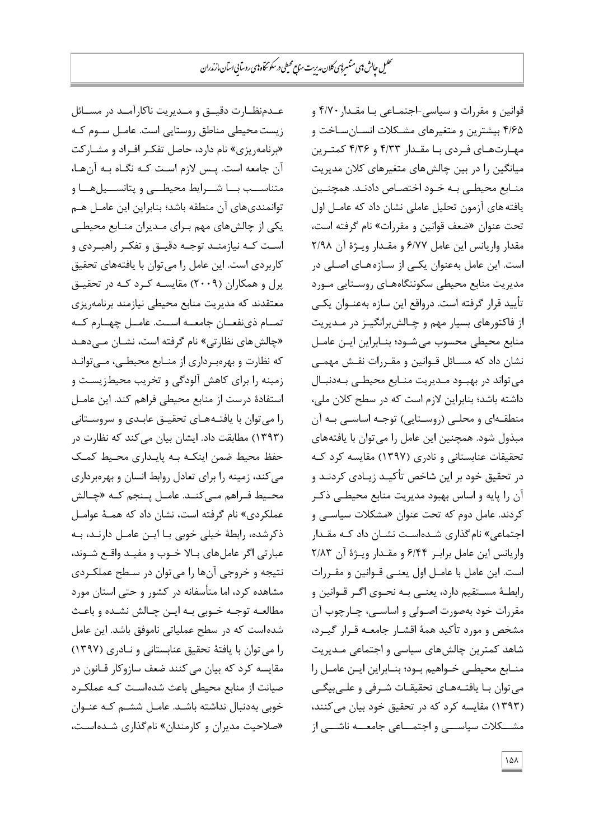عـدمنظــارت دقيــق و مــديريت ناكارآمــد در مســائل زیست محیطی مناطق روستایی است. عامـل سـوم كـه «برنامهریزی» نام دارد، حاصل تفکر افتراد و مشتار کت آن جامعه است. پتس لازم است کـه نگـاه بـه آنهـا، ُمتناســب بـــا شـــرايط محيطـــى و پتانســـيلهـــا و توانمندیهای آن منطقه باشد؛ بنابراین این عامـل هـم یکی از چالشهای مهم بـرای مـدیران منـابع محیطـی است كـه نيازمنـد توجـه دقيـق و تفكـر راهبـردي و كاربردي است. اين عامل را مي توان با يافتههاي تحقيق پرل و همکاران (٢٠٠٩) مقایسـه کـرد کـه در تحقیـق معتقدند که مدیریت منابع محیطی نیازمند برنامهریزی تمــام ذي نفعــان جامعــه اســت. عامــل چهــارم كــه «چالش های نظارتی» نام گرفته است، نشـان مـیدهـد که نظارت و بهرهبرداری از منـابع محیطـی، مـیتوانـد زمينه را براي كاهش آلودگي و تخريب محيطزيست و استفادهٔ درست از منابع محیطی فراهم کند. این عامـل را می توان با یافتههای تحقیـق عابـدی و سروسـتانی (١٣٩٣) مطابقت داد. ايشان بيان مي كند كه نظارت در حفظ محيط ضمن اينكـه بـه پايـداري محـيط كمـك می کند، زمینه را برای تعادل روابط انسان و بهرهبرداری محيط فـراهم مـى كنـد. عامـل پـنجم كـه «چـالش عملکردی» نام گرفته است، نشان داد که همـهٔ عوامـل ذكرشده، رابطة خيلي خوبي بـا ايـن عامـل دارنـد، بـه عبارتي اگر عاملهاي بـالا خـوب و مفيـد واقـع شـوند، نتيجه و خروجي آن ها را مي توان در سـطح عملكـردي مشاهده کرد، اما متأسفانه در کشور و حتبی استان مورد مطالعـه توجـه خـوبي بـه ايـن چـالش نشـده و باعـث شده است كه در سطح عملياتي ناموفق باشد. اين عامل را می توان با یافتهٔ تحقیق عنابستانی و نـادری (١٣٩٧) مقایسه کرد که بیان می کنند ضعف سازوکار قـانون در صيانت از منابع محيطى باعث شدهاست كـه عملكـرد خوبی به دنبال نداشته باشـد. عامـل ششـم کـه عنـوان «صلاحیت مدیران و کارمندان» نام گذاری شـده اسـت،

قوانین و مقررات و سیاسی-اجتمـاعی بـا مقـدار ۴/۷۰ و ۴/۶۵ بیشترین و متغیرهای مشـکلات انسـان سـاخت و مهارتهای فردی با مقدار ۴/۳۳ و ۴/۳۶ کمترین میانگین را در بین چالش های متغیرهای کلان مدیریت منـابع محيطـي بـه خـود اختصـاص دادنـد. همچنـين يافته هاى آزمون تحليل عاملي نشان داد كه عامـل اول تحت عنوان «ضعف قوانين و مقررات» نام گرفته است، مقدار واريانس اين عامل ۶/٧٧ و مقدار ويـژة آن ٢/٩٨ است. این عامل بهعنوان یکی از سـازههـای اصـلی در مدیریت منابع محیطی سکونتگاههـای روسـتایی مـورد تأييد قرار گرفته است. درواقع اين سازه بهعنــوان يكــي از فاکتورهای بسیار مهم و چـالش برانگیــز در مــدیریت منابع محيطي محسوب مي شــود؛ بنــابراين ايــن عامــل نشان داد که مسـائل قـوانين و مقـررات نقـش مهمـي می تواند در بهبود مـدیریت منـابع محیطـی بـهدنبـال داشته باشد؛ بنابراین لازم است که در سطح کلان ملی، منطقـهای و محلـی (روسـتایی) توجـه اساسـی بـه آن مبذول شود. همچنین این عامل را می توان با یافتههای تحقیقات عنابستانی و نادری (١٣٩٧) مقایسه کرد ک در تحقیق خود بر این شاخص تأکیـد زیـادی کردنـد و آن را پایه و اساس بهبود مدیریت منابع محیطے ذکـر کردند. عامل دوم که تحت عنوان «مشکلات سیاسی و اجتماعي» نام گذاري شـدهاسـت نشـان داد كـه مقـدار واريانس اين عامل برابر ۶/۴۴ و مقدار ويژة آن ٢/٨٣ است. این عامل با عامـل اول یعنـی قـوانین و مقـررات رابطـهٔ مسـتقیم دارد، یعنـی بـه نحـوی اگـر قـوانین و مقررات خود بهصورت اصـولى و اساســى، چـارچوب آن مشخص و مورد تأكيد همهٔ اقشـار جامعـه قـرار گيـرد، شاهد کمترین چالشهای سیاسی و اجتماعی مـدیریت منـابع محيطـي خـواهيم بـود؛ بنـابراين ايــن عامـل را می توان بـا يافتـههـاي تحقيقـات شـرفي و علـيبيگـي (١٣٩٣) مقايسه كرد كه در تحقيق خود بيان مي كنند، مشـــكلات سياســـي و اجتمـــاعي جامعـــه ناشـــي از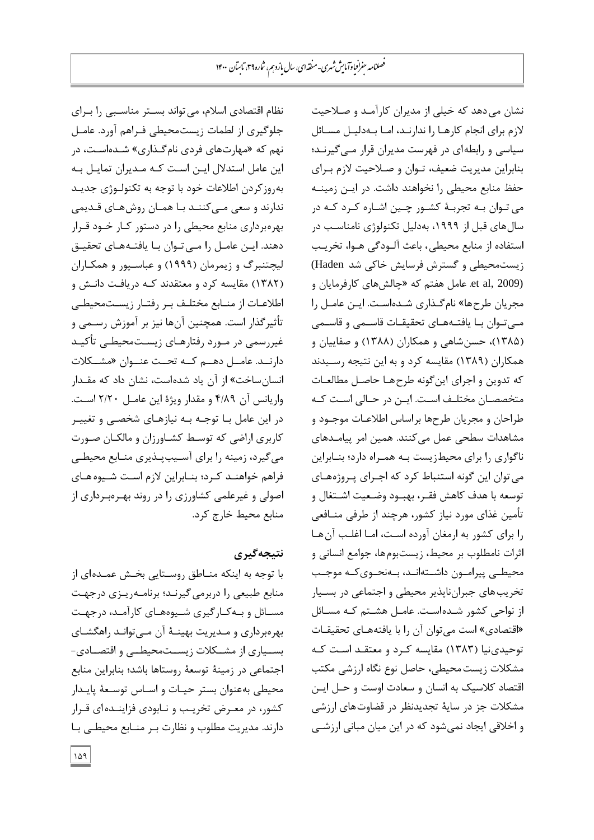نظام اقتصادی اسلام، می تواند بستر مناسبی را برای جلوگیری از لطمات زیستمحیطی فـراهم آورد. عامـل نهم که «مهارتهای فردی نام *گ*ذاری» شـدهاسـت، در این عامل استدلال ایـن اسـت کـه مـدیران تمایـل بـه به٫وزكردن اطلاعات خود با توجه به تكنولـوژي جديـد ندارند و سعی مـیکننـد بـا همـان روشهـای قـديمی بهرهبرداری منابع محیطی را در دستور کـار خـود قـرار دهند. ایـن عامـل را مـی تـوان بـا یافتـههـای تحقیـق ليچتنبرگ و زيمرمان (١٩٩٩) و عباسـيور و همكـاران (١٣٨٢) مقايسه كرد و معتقدند كـه دريافت دانـش و اطلاعـات از منــابع مختلـف بـر رفتـار زيســتمحيطـي تأثير گذار است. همچنين آنها نيز بر آموزش رسـمي و غیررسمی در مـورد رفتارهـای زیسـتمحیطـی تأکیـد دارنــد. عامــل دهــم كــه تحــت عنــوان «مشــكلات انسان ساخت» از آن یاد شدهاست، نشان داد که مقــدار واريانس آن ۴/۸۹ و مقدار ويژهٔ اين عامل ۲/۲۰ است. در این عامل بـا توجـه بـه نیازهـای شخصـی و تغییـر كاربري اراضي كه توسط كشـاورزان و مالكـان صـورت می گیرد، زمینه را برای آسیبپنذیری منـابع محیطـی فراهم خواهنـد كـرد؛ بنـابراين لازم اسـت شـيوه هـاى اصولی و غیرعلمی کشاورزی را در روند بهـرهبـرداری از منابع محيط خارج كرد.

# **نتیدهگیزک**

با توجه به اينكه منــاطق روســتايي بخـش عمــدهاي از منابع طبیعی را دربرمی گیرنـد؛ برنامـهریـزی درجهـت مسـائل و بـهکـارگیری شـیوههـای کارآمـد، درجهـت بهرهبرداري و مـديريت بهينــهٔ آن مــىتوانـد راهگشــاي بســياري از مشــكلات زيســتمحيطــي و اقتصــادي-اجتماعي در زمينهٔ توسعهٔ روستاها باشد؛ بنابراين منابع محيطي بهعنوان بستر حيـات و اسـاس توسـعهٔ پايـدار کشور، در معـرض تخریـب و نـابودی فزاینـدهای قـرار دارند. مدیریت مطلوب و نظارت بر منـابع محیطـی بـا نشان میٖدهد که خیلی از مدیران کارآمـد و صـلاحیت لازم برای انجام کارهـا را ندارنـد، امـا بـهدليـل مسـائل سیاسی و رابطه ای در فهرست مدیران قرار مـی5یرنـد؛ بنابراین مدیریت ضعیف، تـوان و صـلاحیت لازم بـرای حفظ منابع محيطى را نخواهند داشت. در ايـن زمينــه می تـوان بـه تجربـهٔ کشـور چـین اشـاره کـرد کـه در سالهای قبل از ۱۹۹۹، بهدلیل تکنولوژی نامناسـب در استفاده از منابع محيطي، باعث آلـودگي هـوا، تخريـب زیست محیطی و گسترش فرسایش خاکی شد Haden) et al, 2009). بامل هفتم كه «چالشهای كارفرمايان و مجریان طرحها» نام گذاری شـدهاسـت. ایـن عامـل را مبی توان بـا یافتـههـای تحقیقـات قاسـمی و قاسـمی (۱۳۸۵)، حسنشاهی و همکاران (۱۳۸۸) و صفاییان و همکاران (١٣٨٩) مقايسه کرد و به اين نتيجه رسـيدند كه تدوين و اجراي اين گونه طرحهـا حاصـل مطالعـات متخصصـان مختلـف اسـت. ايـن در حـالي اسـت كـه طراحان و مجريان طرحها براساس اطلاعـات موجـود و مشاهدات سطحی عمل میکنند. همین امر پیامدهای ناگواری را برای محیطزیست بـه همـراه دارد؛ بنـابراین می توان این گونه استنباط کرد که اجـرای پـروژههـای توسعه با هدف كاهش فقـر، بهبـود وضـعيت اشـتغال و تأمین غذای مورد نیاز کشور، هرچند از طرفی منـافعی را برای کشور به ارمغان آورده است، امـا اغلـب آن هـا اثرات نامطلوب بر محيط، زيستبومها، جوامع انساني و محیطے پیرامون داشتهانـد، بـهنحـوی کـه موجـب تخریب های جبرانناپذیر محیطی و اجتماعی در بسـیار از نواحی کشور شـدهاسـت. عامـل هشـتم کـه مسـائل «اقتصادي» است مي توان آن را با يافتههـاي تحقيقـات توحیدی نیا (۱۳۸۳) مقایسه کرد و معتقـد اسـت کـه مشكلات زيست محيطي، حاصل نوع نگاه ارزشي مكتب اقتصاد كلاسيك به انسان و سعادت اوست و حـل ايـن مشکلات جز در سایهٔ تجدیدنظر در قضاوتهای ارزشی و اخلاقی ایجاد نمیشود که در این میان مبانی ارزشـی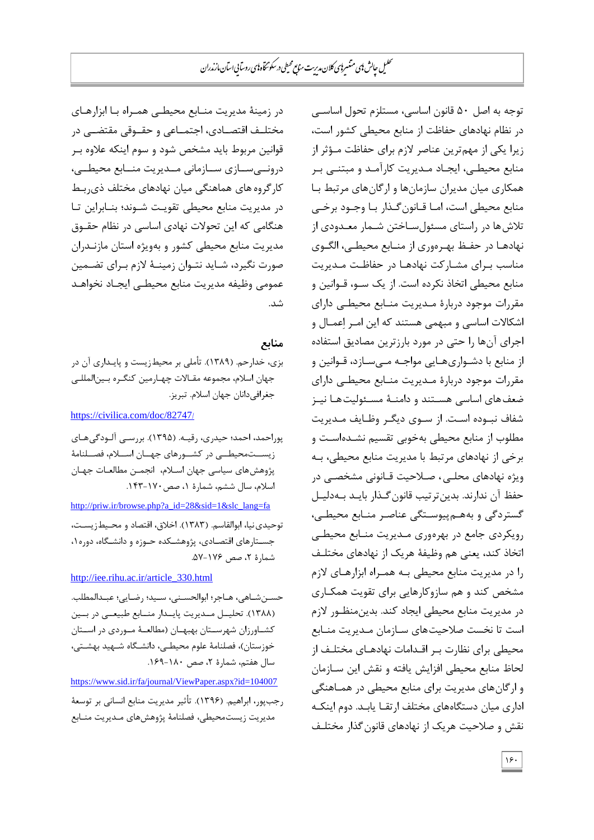در زمينهٔ مديريت منـابع محيطـي همـراه بـا ابزارهـاي مختلــف اقتصــادي، اجتمــاعي و حقــوقي مقتضــي در قوانین مربوط باید مشخص شود و سوم اینکه علاوه بـر درونے سازی سازمانی مـدیریت منـابع محیطـی، كارگروه هاي هماهنگي ميان نهادهاي مختلف ذي,بط در مديريت منابع محيطى تقويت شـوند؛ بنـابراين تـا هنگامی که این تحولات نهادی اساسی در نظام حقــوق مدیریت منابع محیطی کشور و بهویژه استان مازنـدران صورت نگیرد، شـاید نتـوان زمینــهٔ لازم بـرای تضـمین عمومي وظيفه مديريت منابع محيطـي ايجـاد نخواهـد ؿذ.

# **م اتغ**

بزي، خدارحم. (١٣٨٩). تأملي بر محيطزيست و پايـداري آن در جهان اسلام، مجموعه مقـالات چهـارمين كنگـره بـينالمللـي جغرافيدانان جهان اسلام. تبريز.

[https://civilica.com/doc/82747](https://civilica.com/doc/82747/)/

پوراحمد، احمد؛ حیدری، رقیـه. (۱۳۹۵). بررسـی آلـودگیهـای زيســتمحيطــي در كشــورهاي جهــان اســـلام، فصــلنامهٔ پژوهشهای سیاسی جهان اسلام، انجمـن مطالعـات جهـان اسلام، سال ششم، شمارهٔ ۱، صص ۱۷۰-۱۴۳.

[http://priw.ir/browse.php?a\\_id=28&sid=1&slc\\_lang=fa](http://priw.ir/browse.php?a_id=28&sid=1&slc_lang=fa) توحيدي نيا، ابوالقاسم. (١٣٨٣). اخلاق، اقتصاد و محيطزيست، جسـتارهاى اقتصـادى، پژوهشـكده حـوزه و دانشـگاه، دوره ۰۱ شمارة ٢، صص ١٧۶-۵۷.

[http://iee.rihu.ac.ir/article\\_330.html](http://iee.rihu.ac.ir/article_330.html)

حسـن شـاهي، هـاجر؛ ابوالحسـني، سـيد؛ رضـايي؛ عبـدالمطلب. (١٣٨٨). تحليـل مـديريت پايـدار منـابع طبيعـى در بـين کشـاورزان شهرسـتان بهبهـان (مطالعـهٔ مـوردی در اسـتان خوزستان)، فصلنامهٔ علوم محیطـی، دانشـگاه شـهید بهشـتی، سال هفتم، شمارة ٢، صص ١٨٠-١۶٩.

<https://www.sid.ir/fa/journal/ViewPaper.aspx?id=104007> رجبپور، ابراهيم. (١٣٩۶). تأثير مديريت منابع انساني بر توسعهٔ مدیریت زیستمحیطی، فصلنامهٔ پژوهشهای مـدیریت منـابع

توجه به اصل ۵۰ قانون اساسی، مستلزم تحول اساسی در نظام نهادهای حفاظت از منابع محیطی کشور است، زيرا يكي از مهمترين عناصر لازم براي حفاظت مـؤثر از منابع محیطے، ایجـاد مـدیریت کارآمـد و مبتنــی بـر همکاری ميان مديران سازمانها و ارگانهای مرتبط با منابع محيطي است، امـا قـانون گـذار بـا وجـود برخـي تلاش ها در راستای مسئول سـاختن شـمار معـدودی از نهادهـا در حفـظ بهـرهوري از منـابع محيطـي، الكَــوى مناسب برای مشـارکت نهادهـا در حفاظـت مـدیریت منابع محيطى اتخاذ نكرده است. از يک سـو، قـوانين و مقررات موجود دربارهٔ مـدیریت منـابع محیطـی دارای اشكالات اساسى و مبهمى هستند كه اين امـر اعمـال و اجرای آنها را حتی در مورد بارزترین مصادیق استفاده از منابع با دشـواريهـايي مواجـه مـيسـازد، قـوانين و مقررات موجود دربارهٔ مـدیریت منـابع محیطـی دارای ضعف های اساسی هستند و دامنـهٔ مسـئولیتهـا نیـز شفاف نبــوده اسـت. از ســوى ديگــر وظــايف مــديريت مطلوب از منابع محيطي بهخوبي تقسيم نشـدهاسـت و برخي از نهادهاي مرتبط با مديريت منابع محيطي، بـه ويژه نهادهاى محلـى، صـلاحيت قــانونى مشخصـى در حفظ آن ندارند. بدين ترتيب قانون گذار بايـد بـهدليـل گستردگی و به هم پیوستگی عناصر منـابع محیطـی، رویکردی جامع در بهرهوری مدیریت منابع محیطی اتخاذ كند، يعني هم وظيفة هريك از نهادهاي مختلـف را در مدیریت منابع محیطی بـه همـراه ابزارهـای لازم مشخص کند و هم سازوکارهایی برای تقویت همکـاری در مديريت منابع محيطي ايجاد كند. بدينِمنظـور لازم است تا نخست صلاحیتهای سـازمان مـدیریت منـابع محیطی برای نظارت بـر اقـدامات نهادهـای مختلـف از لحاظ منابع محيطي افزايش يافته و نقش اين سـازمان و ارگانهای مدیریت برای منابع محیطی در همـاهنگی اداري ميان دستگاههاي مختلف ارتقـا يابـد. دوم اينكـه نقش و صلاحیت هر یک از نهادهای قانون گذار مختلـف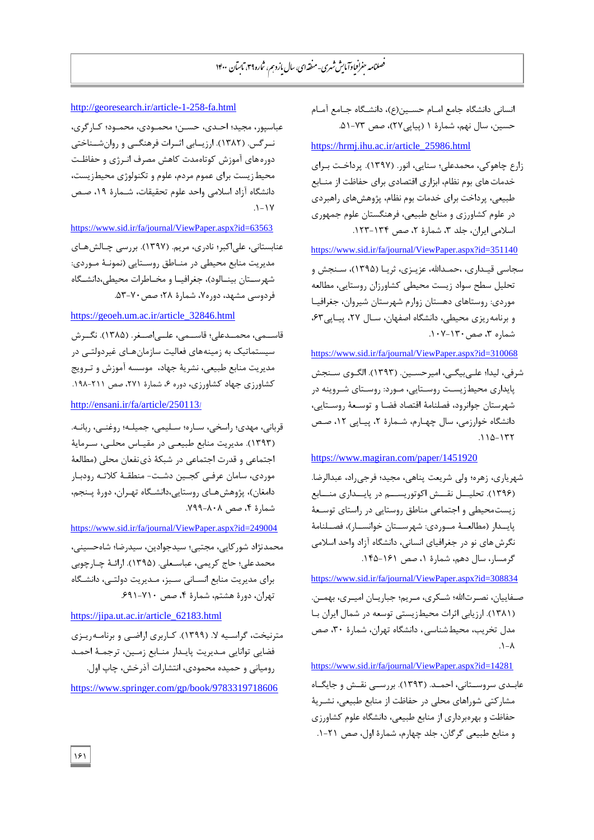انسانی دانشگاه جامع امـام حسـین(ع)، دانشـگاه جـامع آمـام حسين، سال نهم، شمارة ١ (پياپي٢٧)، صص ٧٣-٥١.

[https://hrmj.ihu.ac.ir/article\\_25986.html](https://hrmj.ihu.ac.ir/article_25986.html)

زارع چاهوكى، محمدعلى؛ سنايى، انور. (١٣٩٧). پرداخت بـراي خدمات های بوم نظام، ابزاری اقتصادی برای حفاظت از منــابع طبیعی، پرداخت برای خدمات بوم نظام، پژوهش های راهبردی در علوم کشاورزی و منابع طبیعی، فرهنگستان علوم جمهوری اسلامی ایران، جلد ٣، شمارهٔ ٢، صص ١٣٤-١٢٣.

<https://www.sid.ir/fa/journal/ViewPaper.aspx?id=351140>

سجاسی قیـداری، ،حمـدالله، عزیـزی، ثریـا (۱۳۹۵)، سـنجش و تحليل سطح سواد زيست محيطي كشاورزان روستايي، مطالعه موردي: روستاهاي دهستان زوارم شهرستان شيروان، جغرافيـا و برنامه ریزی محیطی، دانشگاه اصفهان، سال ٢٧، پیاپی ۶۳،  $\cdots$ شماره ۳، صص $\cdots$ ۱۳۰-

<https://www.sid.ir/fa/journal/ViewPaper.aspx?id=310068>

شرفی، لیدا؛ علـی بیگـی، امیرحسـین. (۱۳۹۳). الگـوی سـنجش یایداری محیطزیست روستایی، مورد: روستای شـروینه در شهرستان جوانرود، فصلنامهٔ اقتصاد فضـا و توسـعهٔ روسـتایی، دانشگاه خوارزمي، سال چهـارم، شـمارهٔ ٢، پيـايي ١٢، صـص  $.110 - 177$ 

<https://www.magiran.com/paper/1451920>

شهرياري، زهره؛ ولي شريعت پناهي، مجيد؛ فرجي راد، عبدالرضا. (١٣٩۶). تحليــل نقــش اكوتوريســم در پايــدارى منــابع زیستمحیطی و اجتماعی مناطق روستایی در راستای توسعهٔ پايــدار (مطالعــهٔ مــوردي: شهرســتان خوانســار)، فصــلنامهٔ نگرش های نو در جغرافیای انسانی، دانشگاه آزاد واحد اسلامی گرمسار، سال دهم، شمارهٔ ۱، صص ۱۶۱-۱۴۵.

<https://www.sid.ir/fa/journal/ViewPaper.aspx?id=308834>

صفاييان، نصـرتالله؛ شـكرى، مـريم؛ جباريـان اميـرى، بهمـن. (١٣٨١). ارزيابي اثرات محيطزيستي توسعه در شمال ايران با هدل تخريب، محيطشناسي، دانشگاه تهران، شمارهٔ ٣٠، صص .1-8

<https://www.sid.ir/fa/journal/ViewPaper.aspx?id=14281>

عابـدي سروسـتاني، احمـد. (١٣٩٣). بررسـي نقـش و جايگـاه مشاركتي شوراهاي محلي در حفاظت از منابع طبيعي، نشـريهٔ حفاظت و بهرهبرداري از منابع طبيعي، دانشگاه علوم كشاورزي و منابع طبيعي گرگان، جلد چهارم، شمارهٔ اول، صص ٢١-١.

<http://georesearch.ir/article-1-258-fa.html>

عباسیور، مجید؛ احـدی، حسـن؛ محمـودی، محمـود؛ کـارگری، نترگس. (١٣٨٢). ارزيتابي اثترات فرهنگتي و روان شيناختي دورههای آموزش کوتاهمدت کاهش مصرف انـرژی و حفاظـت محيطزيست براي عموم مردم، علوم و تكنولوژي محيطزيست، دانشگاه آزاد اسلامی واحد علوم تحقیقات، شـمارهٔ ۱۹، صـص  $.1 - 1V$ 

<https://www.sid.ir/fa/journal/ViewPaper.aspx?id=63563> عنابستانی، علی|کبر؛ نادری، مریم. (۱۳۹۷). بررسی چـالش هـای مدیریت منابع محیطی در منـاطق روسـتایی (نمونـهٔ مـوردی: شهرسـتان بينــالود)، جغرافيــا و مخــاطرات محيطي،دانشــگاه فردوسی مشهد، دوره۷، شمارهٔ ۲۸؛ صص۲۰-۵۳.

[https://geoeh.um.ac.ir/article\\_32846.html](https://geoeh.um.ac.ir/article_32846.html)

قاســمي، محمــدعلي؛ قاســمي، علــي|صــغر. (١٣٨۵). نگــرش سیستماتیک به زمینههای فعالیت سازمانهای غیردولتـی در مدیریت منابع طبیعی، نشریهٔ جهاد، ً موسسه آموزش و تـرویج كشاورزي جهاد كشاورزي، دوره ۶، شمارة ٢٧١، صص ٢١١-١٩٨.

## [http://ensani.ir/fa/article/250113](http://ensani.ir/fa/article/250113/)/

قرباني، مهدي؛ راسخي، سـاره؛ سـليمي، جميلـه؛ روغنـي، ربانـه. (١٣٩٣). مديريت منابع طبيعـي در مقيـاس محلـي، سـرماية اجتماعي و قدرت اجتماعي در شبكة ذي نفعان محلي (مطالعة موردي، سامان عرفـي كجـين دشـت- منطقـهٔ كلاتـه رودبـار دامغان)، پژوهشهـاي روستايي،دانشـگاه تهـران، دورهٔ پـنجم، شمارة ۴، صص ٨٠٨-٧٩٩.

<https://www.sid.ir/fa/journal/ViewPaper.aspx?id=249004>

محمدنژاد شوركايي، مجتبي؛ سيدجوادين، سيدرضا؛ شاهحسيني، محمدعلی؛ حاج کریمی، عباسـعلی. (١٣٩۵). ارائـهٔ چـارچوبی برای مدیریت منابع انســانی ســبز، مــدیریت دولتــی، دانشــگاه تهران، دورهٔ هشتم، شمارهٔ ۴، صص ۷۱۰-۶۹۱.

# [https://jipa.ut.ac.ir/article\\_62183.html](https://jipa.ut.ac.ir/article_62183.html)

مترنیخت، گراسیه لا. (۱۳۹۹). کیاربری اراضی و برنامیه ریبزی فضایی توانایی مـدیریت پایـدار منـابع زمـین، ترجمـهٔ احمـد رومياني و حميده محمودي، انتشارات آذرخش، چاپ اول. <https://www.springer.com/gp/book/9783319718606>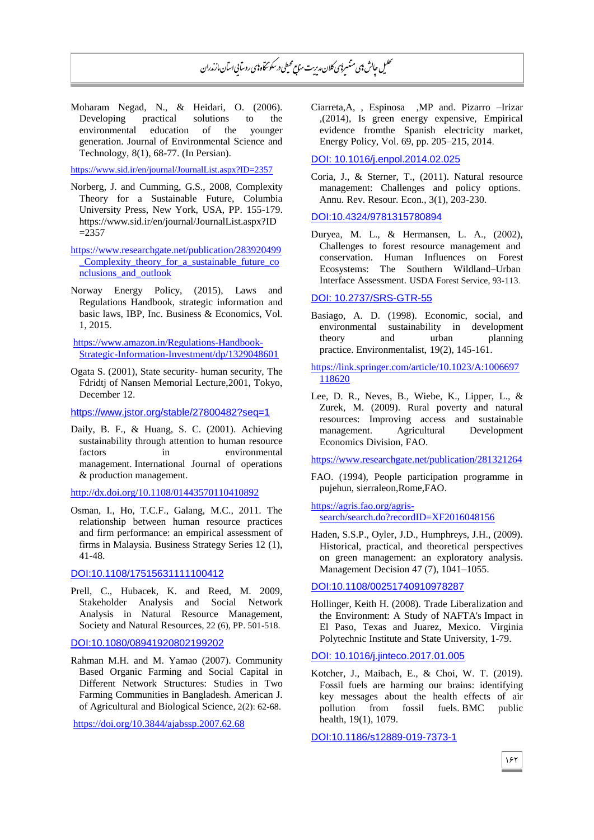Moharam Negad, N., & Heidari, O. (2006). Developing practical solutions to the environmental education of the younger generation. Journal of Environmental Science and Technology, 8(1), 68-77. (In Persian).

<https://www.sid.ir/en/journal/JournalList.aspx?ID=2357>

Norberg, J. and Cumming, G.S., 2008, Complexity Theory for a Sustainable Future, Columbia University Press, New York, USA, PP. 155-179. https://www.sid.ir/en/journal/JournalList.aspx?ID  $=2357$ 

[https://www.researchgate.net/publication/283920499](https://www.researchgate.net/publication/283920499_Complexity_theory_for_a_sustainable_future_conclusions_and_outlook) [\\_Complexity\\_theory\\_for\\_a\\_sustainable\\_future\\_co](https://www.researchgate.net/publication/283920499_Complexity_theory_for_a_sustainable_future_conclusions_and_outlook) [nclusions\\_and\\_outlook](https://www.researchgate.net/publication/283920499_Complexity_theory_for_a_sustainable_future_conclusions_and_outlook)

- Norway Energy Policy, (2015), Laws and Regulations Handbook, strategic information and basic laws, IBP, Inc. Business & Economics, Vol. 1, 2015.
- [https://www.amazon.in/Regulations-Handbook-](https://www.amazon.in/Regulations-Handbook-Strategic-Information-Investment/dp/1329048601)[Strategic-Information-Investment/dp/1329048601](https://www.amazon.in/Regulations-Handbook-Strategic-Information-Investment/dp/1329048601)
- Ogata S. (2001), State security- human security, The Fdridtj of Nansen Memorial Lecture,2001, Tokyo, December 12.

https://www.jstor.org/stable/27800482?seq=1

Daily, B. F., & Huang, S. C. (2001). Achieving sustainability through attention to human resource factors in environmental management. International Journal of operations & production management.

<http://dx.doi.org/10.1108/01443570110410892>

Osman, I., Ho, T.C.F., Galang, M.C., 2011. The relationship between human resource practices and firm performance: an empirical assessment of firms in Malaysia. Business Strategy Series 12 (1), 41-48.

DOI:10.1108/17515631111100412

Prell, C., Hubacek, K. and Reed, M. 2009, Stakeholder Analysis and Social Network Analysis in Natural Resource Management, Society and Natural Resources, 22 (6), PP. 501-518.

DOI:10.1080/08941920802199202

Rahman M.H. and M. Yamao (2007). Community Based Organic Farming and Social Capital in Different Network Structures: Studies in Two Farming Communities in Bangladesh. American J. of Agricultural and Biological Science, 2(2): 62-68.

<https://doi.org/10.3844/ajabssp.2007.62.68>

Ciarreta,A, , Espinosa ,MP and. Pizarro –Irizar ,(2014), Is green energy expensive, Empirical evidence fromthe Spanish electricity market, Energy Policy, Vol. 69, pp. 205–215, 2014.

DOI: 10.1016/j.enpol.2014.02.025

Coria, J., & Sterner, T., (2011). Natural resource management: Challenges and policy options. Annu. Rev. Resour. Econ., 3(1), 203-230.

DOI:10.4324/9781315780894

Duryea, M. L., & Hermansen, L. A., (2002), Challenges to forest resource management and conservation. Human Influences on Forest Ecosystems: The Southern Wildland–Urban Interface Assessment. USDA Forest Service, 93-113.

### DOI: 10.2737/SRS-GTR-55

Basiago, A. D. (1998). Economic, social, and environmental sustainability in development theory and urban planning practice. Environmentalist, 19(2), 145-161.

[https://link.springer.com/article/10.1023/A:1006697](https://link.springer.com/article/10.1023/A:1006697118620) [118620](https://link.springer.com/article/10.1023/A:1006697118620)

Lee, D. R., Neves, B., Wiebe, K., Lipper, L., & Zurek, M. (2009). Rural poverty and natural resources: Improving access and sustainable management. Agricultural Development Economics Division, FAO.

<https://www.researchgate.net/publication/281321264>

FAO. (1994), People participation programme in pujehun, sierraleon,Rome,FAO.

[https://agris.fao.org/agris](https://agris.fao.org/agris-search/search.do?recordID=XF2016048156)[search/search.do?recordID=XF2016048156](https://agris.fao.org/agris-search/search.do?recordID=XF2016048156)

Haden, S.S.P., Oyler, J.D., Humphreys, J.H., (2009). Historical, practical, and theoretical perspectives on green management: an exploratory analysis. Management Decision 47 (7), 1041–1055.

DOI:10.1108/00251740910978287

Hollinger, Keith H. (2008). Trade Liberalization and the Environment: A Study of NAFTA's Impact in El Paso, Texas and Juarez, Mexico. Virginia Polytechnic Institute and State University, 1-79.

## DOI: 10.1016/j.jinteco.2017.01.005

Kotcher, J., Maibach, E., & Choi, W. T. (2019). Fossil fuels are harming our brains: identifying key messages about the health effects of air pollution from fossil fuels. BMC public health, 19(1), 1079.

DOI:10.1186/s12889-019-7373-1